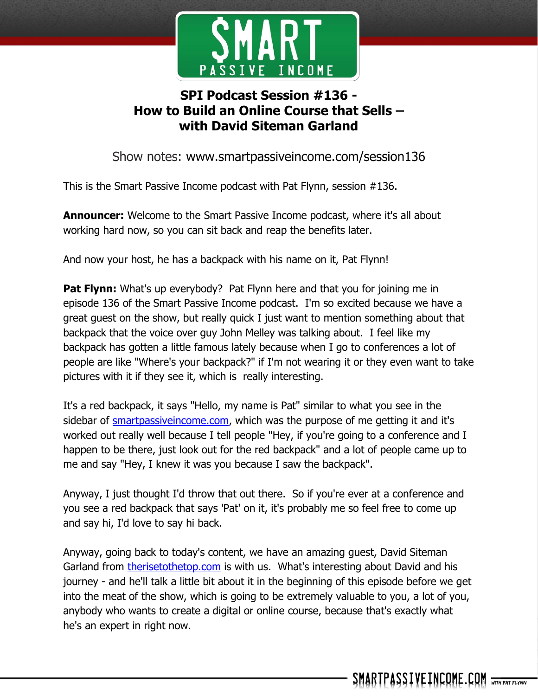

# **SPI Podcast Session #136 - How to Build an Online Course that Sells – with David Siteman Garland**

Show notes: www.smartpassiveincome.com/session136

This is the Smart Passive Income podcast with Pat Flynn, session #136.

**Announcer:** Welcome to the Smart Passive Income podcast, where it's all about working hard now, so you can sit back and reap the benefits later.

And now your host, he has a backpack with his name on it, Pat Flynn!

**Pat Flynn:** What's up everybody? Pat Flynn here and that you for joining me in episode 136 of the Smart Passive Income podcast. I'm so excited because we have a great guest on the show, but really quick I just want to mention something about that backpack that the voice over guy John Melley was talking about. I feel like my backpack has gotten a little famous lately because when I go to conferences a lot of people are like "Where's your backpack?" if I'm not wearing it or they even want to take pictures with it if they see it, which is really interesting.

It's a red backpack, it says "Hello, my name is Pat" similar to what you see in the sidebar of smartpassive income.com, which was the purpose of me getting it and it's worked out really well because I tell people "Hey, if you're going to a conference and I happen to be there, just look out for the red backpack" and a lot of people came up to me and say "Hey, I knew it was you because I saw the backpack".

Anyway, I just thought I'd throw that out there. So if you're ever at a conference and you see a red backpack that says 'Pat' on it, it's probably me so feel free to come up and say hi, I'd love to say hi back.

Anyway, going back to today's content, we have an amazing guest, David Siteman Garland from [therisetothetop.com](http://therisetothetop.com/) is with us. What's interesting about David and his journey - and he'll talk a little bit about it in the beginning of this episode before we get into the meat of the show, which is going to be extremely valuable to you, a lot of you, anybody who wants to create a digital or online course, because that's exactly what he's an expert in right now.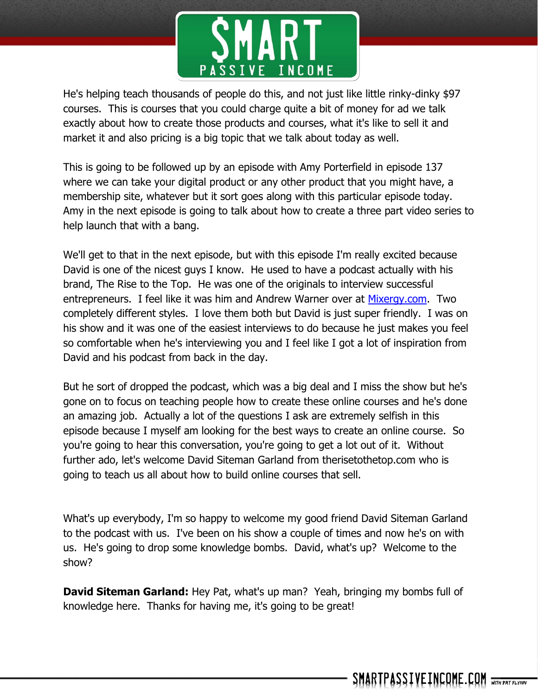

He's helping teach thousands of people do this, and not just like little rinky-dinky \$97 courses. This is courses that you could charge quite a bit of money for ad we talk exactly about how to create those products and courses, what it's like to sell it and market it and also pricing is a big topic that we talk about today as well.

This is going to be followed up by an episode with Amy Porterfield in episode 137 where we can take your digital product or any other product that you might have, a membership site, whatever but it sort goes along with this particular episode today. Amy in the next episode is going to talk about how to create a three part video series to help launch that with a bang.

We'll get to that in the next episode, but with this episode I'm really excited because David is one of the nicest guys I know. He used to have a podcast actually with his brand, The Rise to the Top. He was one of the originals to interview successful entrepreneurs. I feel like it was him and Andrew Warner over at [Mixergy.com.](http://mixergy.com/) Two completely different styles. I love them both but David is just super friendly. I was on his show and it was one of the easiest interviews to do because he just makes you feel so comfortable when he's interviewing you and I feel like I got a lot of inspiration from David and his podcast from back in the day.

But he sort of dropped the podcast, which was a big deal and I miss the show but he's gone on to focus on teaching people how to create these online courses and he's done an amazing job. Actually a lot of the questions I ask are extremely selfish in this episode because I myself am looking for the best ways to create an online course. So you're going to hear this conversation, you're going to get a lot out of it. Without further ado, let's welcome David Siteman Garland from therisetothetop.com who is going to teach us all about how to build online courses that sell.

What's up everybody, I'm so happy to welcome my good friend David Siteman Garland to the podcast with us. I've been on his show a couple of times and now he's on with us. He's going to drop some knowledge bombs. David, what's up? Welcome to the show?

**David Siteman Garland:** Hey Pat, what's up man? Yeah, bringing my bombs full of knowledge here. Thanks for having me, it's going to be great!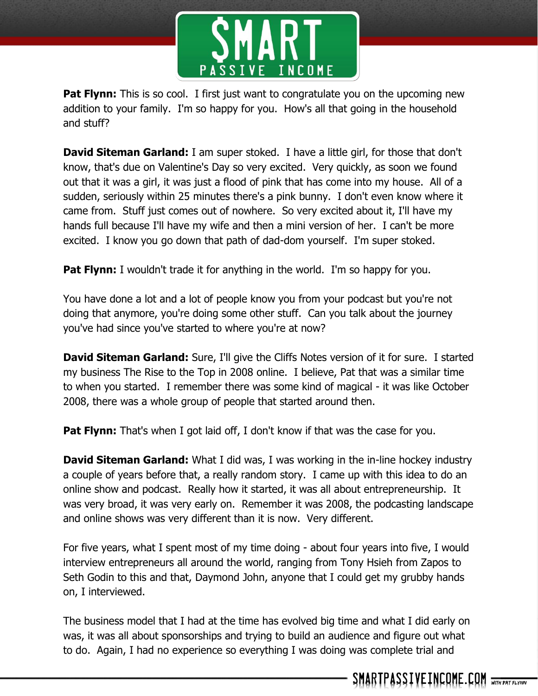

**Pat Flynn:** This is so cool. I first just want to congratulate you on the upcoming new addition to your family. I'm so happy for you. How's all that going in the household and stuff?

**David Siteman Garland:** I am super stoked. I have a little girl, for those that don't know, that's due on Valentine's Day so very excited. Very quickly, as soon we found out that it was a girl, it was just a flood of pink that has come into my house. All of a sudden, seriously within 25 minutes there's a pink bunny. I don't even know where it came from. Stuff just comes out of nowhere. So very excited about it, I'll have my hands full because I'll have my wife and then a mini version of her. I can't be more excited. I know you go down that path of dad-dom yourself. I'm super stoked.

**Pat Flynn:** I wouldn't trade it for anything in the world. I'm so happy for you.

You have done a lot and a lot of people know you from your podcast but you're not doing that anymore, you're doing some other stuff. Can you talk about the journey you've had since you've started to where you're at now?

**David Siteman Garland:** Sure, I'll give the Cliffs Notes version of it for sure. I started my business The Rise to the Top in 2008 online. I believe, Pat that was a similar time to when you started. I remember there was some kind of magical - it was like October 2008, there was a whole group of people that started around then.

**Pat Flynn:** That's when I got laid off, I don't know if that was the case for you.

**David Siteman Garland:** What I did was, I was working in the in-line hockey industry a couple of years before that, a really random story. I came up with this idea to do an online show and podcast. Really how it started, it was all about entrepreneurship. It was very broad, it was very early on. Remember it was 2008, the podcasting landscape and online shows was very different than it is now. Very different.

For five years, what I spent most of my time doing - about four years into five, I would interview entrepreneurs all around the world, ranging from Tony Hsieh from Zapos to Seth Godin to this and that, Daymond John, anyone that I could get my grubby hands on, I interviewed.

The business model that I had at the time has evolved big time and what I did early on was, it was all about sponsorships and trying to build an audience and figure out what to do. Again, I had no experience so everything I was doing was complete trial and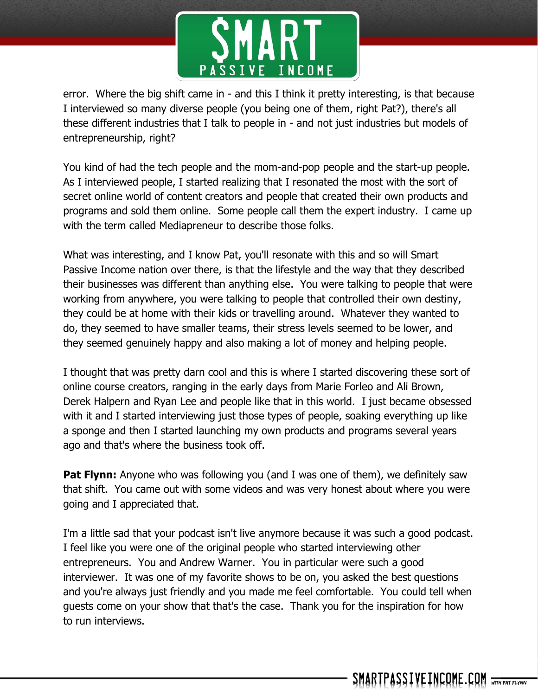

error. Where the big shift came in - and this I think it pretty interesting, is that because I interviewed so many diverse people (you being one of them, right Pat?), there's all these different industries that I talk to people in - and not just industries but models of entrepreneurship, right?

You kind of had the tech people and the mom-and-pop people and the start-up people. As I interviewed people, I started realizing that I resonated the most with the sort of secret online world of content creators and people that created their own products and programs and sold them online. Some people call them the expert industry. I came up with the term called Mediapreneur to describe those folks.

What was interesting, and I know Pat, you'll resonate with this and so will Smart Passive Income nation over there, is that the lifestyle and the way that they described their businesses was different than anything else. You were talking to people that were working from anywhere, you were talking to people that controlled their own destiny, they could be at home with their kids or travelling around. Whatever they wanted to do, they seemed to have smaller teams, their stress levels seemed to be lower, and they seemed genuinely happy and also making a lot of money and helping people.

I thought that was pretty darn cool and this is where I started discovering these sort of online course creators, ranging in the early days from Marie Forleo and Ali Brown, Derek Halpern and Ryan Lee and people like that in this world. I just became obsessed with it and I started interviewing just those types of people, soaking everything up like a sponge and then I started launching my own products and programs several years ago and that's where the business took off.

**Pat Flynn:** Anyone who was following you (and I was one of them), we definitely saw that shift. You came out with some videos and was very honest about where you were going and I appreciated that.

I'm a little sad that your podcast isn't live anymore because it was such a good podcast. I feel like you were one of the original people who started interviewing other entrepreneurs. You and Andrew Warner. You in particular were such a good interviewer. It was one of my favorite shows to be on, you asked the best questions and you're always just friendly and you made me feel comfortable. You could tell when guests come on your show that that's the case. Thank you for the inspiration for how to run interviews.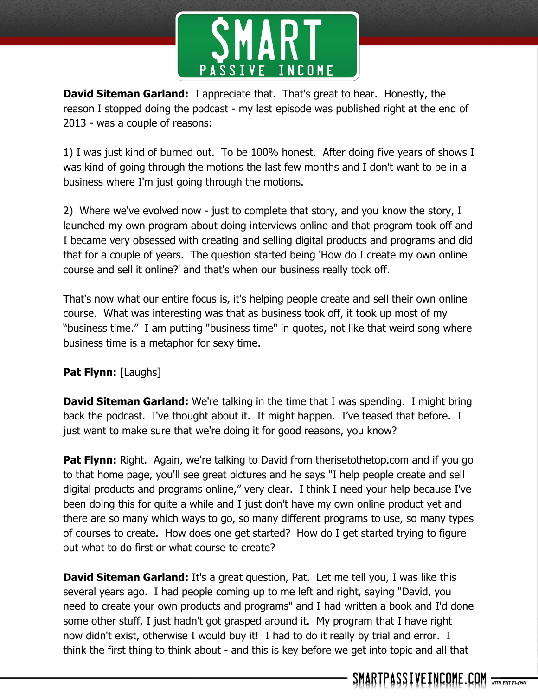

**David Siteman Garland:** I appreciate that. That's great to hear. Honestly, the reason I stopped doing the podcast - my last episode was published right at the end of 2013 - was a couple of reasons:

1) I was just kind of burned out. To be 100% honest. After doing five years of shows I was kind of going through the motions the last few months and I don't want to be in a business where I'm just going through the motions.

2) Where we've evolved now - just to complete that story, and you know the story, I launched my own program about doing interviews online and that program took off and I became very obsessed with creating and selling digital products and programs and did that for a couple of years. The question started being 'How do I create my own online course and sell it online?' and that's when our business really took off.

That's now what our entire focus is, it's helping people create and sell their own online course. What was interesting was that as business took off, it took up most of my "business time." I am putting "business time" in quotes, not like that weird song where business time is a metaphor for sexy time.

# **Pat Flynn:** [Laughs]

**David Siteman Garland:** We're talking in the time that I was spending. I might bring back the podcast. I've thought about it. It might happen. I've teased that before. I just want to make sure that we're doing it for good reasons, you know?

**Pat Flynn:** Right. Again, we're talking to David from therisetothetop.com and if you go to that home page, you'll see great pictures and he says "I help people create and sell digital products and programs online," very clear. I think I need your help because I've been doing this for quite a while and I just don't have my own online product yet and there are so many which ways to go, so many different programs to use, so many types of courses to create. How does one get started? How do I get started trying to figure out what to do first or what course to create?

**David Siteman Garland:** It's a great question, Pat. Let me tell you, I was like this several years ago. I had people coming up to me left and right, saying "David, you need to create your own products and programs" and I had written a book and I'd done some other stuff, I just hadn't got grasped around it. My program that I have right now didn't exist, otherwise I would buy it! I had to do it really by trial and error. I think the first thing to think about - and this is key before we get into topic and all that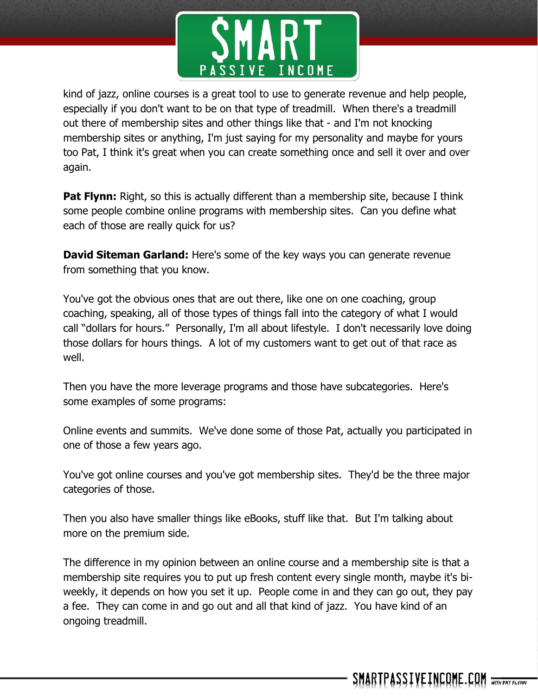

kind of jazz, online courses is a great tool to use to generate revenue and help people, especially if you don't want to be on that type of treadmill. When there's a treadmill out there of membership sites and other things like that - and I'm not knocking membership sites or anything, I'm just saying for my personality and maybe for yours too Pat, I think it's great when you can create something once and sell it over and over again.

**Pat Flynn:** Right, so this is actually different than a membership site, because I think some people combine online programs with membership sites. Can you define what each of those are really quick for us?

**David Siteman Garland:** Here's some of the key ways you can generate revenue from something that you know.

You've got the obvious ones that are out there, like one on one coaching, group coaching, speaking, all of those types of things fall into the category of what I would call "dollars for hours." Personally, I'm all about lifestyle. I don't necessarily love doing those dollars for hours things. A lot of my customers want to get out of that race as well.

Then you have the more leverage programs and those have subcategories. Here's some examples of some programs:

Online events and summits. We've done some of those Pat, actually you participated in one of those a few years ago.

You've got online courses and you've got membership sites. They'd be the three major categories of those.

Then you also have smaller things like eBooks, stuff like that. But I'm talking about more on the premium side.

The difference in my opinion between an online course and a membership site is that a membership site requires you to put up fresh content every single month, maybe it's biweekly, it depends on how you set it up. People come in and they can go out, they pay a fee. They can come in and go out and all that kind of jazz. You have kind of an ongoing treadmill.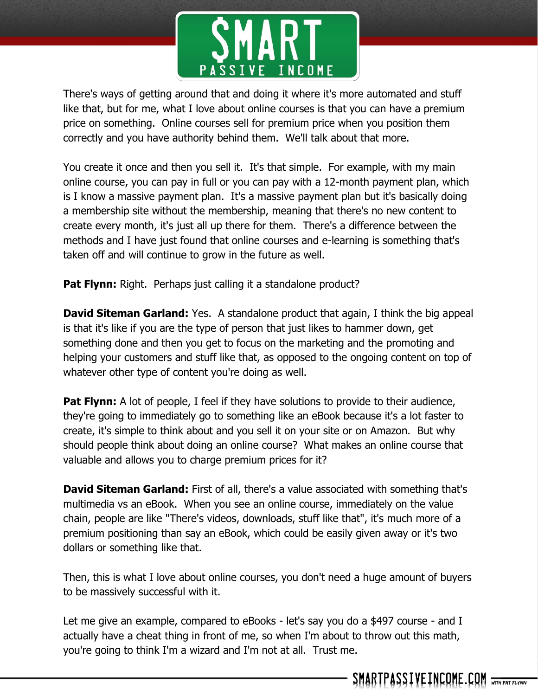

There's ways of getting around that and doing it where it's more automated and stuff like that, but for me, what I love about online courses is that you can have a premium price on something. Online courses sell for premium price when you position them correctly and you have authority behind them. We'll talk about that more.

You create it once and then you sell it. It's that simple. For example, with my main online course, you can pay in full or you can pay with a 12-month payment plan, which is I know a massive payment plan. It's a massive payment plan but it's basically doing a membership site without the membership, meaning that there's no new content to create every month, it's just all up there for them. There's a difference between the methods and I have just found that online courses and e-learning is something that's taken off and will continue to grow in the future as well.

**Pat Flynn:** Right. Perhaps just calling it a standalone product?

**David Siteman Garland:** Yes. A standalone product that again, I think the big appeal is that it's like if you are the type of person that just likes to hammer down, get something done and then you get to focus on the marketing and the promoting and helping your customers and stuff like that, as opposed to the ongoing content on top of whatever other type of content you're doing as well.

**Pat Flynn:** A lot of people, I feel if they have solutions to provide to their audience, they're going to immediately go to something like an eBook because it's a lot faster to create, it's simple to think about and you sell it on your site or on Amazon. But why should people think about doing an online course? What makes an online course that valuable and allows you to charge premium prices for it?

**David Siteman Garland:** First of all, there's a value associated with something that's multimedia vs an eBook. When you see an online course, immediately on the value chain, people are like "There's videos, downloads, stuff like that", it's much more of a premium positioning than say an eBook, which could be easily given away or it's two dollars or something like that.

Then, this is what I love about online courses, you don't need a huge amount of buyers to be massively successful with it.

Let me give an example, compared to eBooks - let's say you do a \$497 course - and I actually have a cheat thing in front of me, so when I'm about to throw out this math, you're going to think I'm a wizard and I'm not at all. Trust me.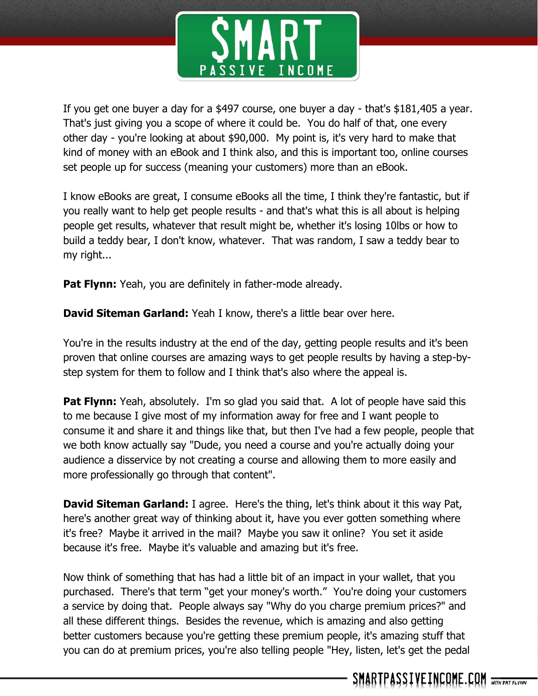

If you get one buyer a day for a \$497 course, one buyer a day - that's \$181,405 a year. That's just giving you a scope of where it could be. You do half of that, one every other day - you're looking at about \$90,000. My point is, it's very hard to make that kind of money with an eBook and I think also, and this is important too, online courses set people up for success (meaning your customers) more than an eBook.

I know eBooks are great, I consume eBooks all the time, I think they're fantastic, but if you really want to help get people results - and that's what this is all about is helping people get results, whatever that result might be, whether it's losing 10lbs or how to build a teddy bear, I don't know, whatever. That was random, I saw a teddy bear to my right...

**Pat Flynn:** Yeah, you are definitely in father-mode already.

**David Siteman Garland:** Yeah I know, there's a little bear over here.

You're in the results industry at the end of the day, getting people results and it's been proven that online courses are amazing ways to get people results by having a step-bystep system for them to follow and I think that's also where the appeal is.

**Pat Flynn:** Yeah, absolutely. I'm so glad you said that. A lot of people have said this to me because I give most of my information away for free and I want people to consume it and share it and things like that, but then I've had a few people, people that we both know actually say "Dude, you need a course and you're actually doing your audience a disservice by not creating a course and allowing them to more easily and more professionally go through that content".

**David Siteman Garland:** I agree. Here's the thing, let's think about it this way Pat, here's another great way of thinking about it, have you ever gotten something where it's free? Maybe it arrived in the mail? Maybe you saw it online? You set it aside because it's free. Maybe it's valuable and amazing but it's free.

Now think of something that has had a little bit of an impact in your wallet, that you purchased. There's that term "get your money's worth." You're doing your customers a service by doing that. People always say "Why do you charge premium prices?" and all these different things. Besides the revenue, which is amazing and also getting better customers because you're getting these premium people, it's amazing stuff that you can do at premium prices, you're also telling people "Hey, listen, let's get the pedal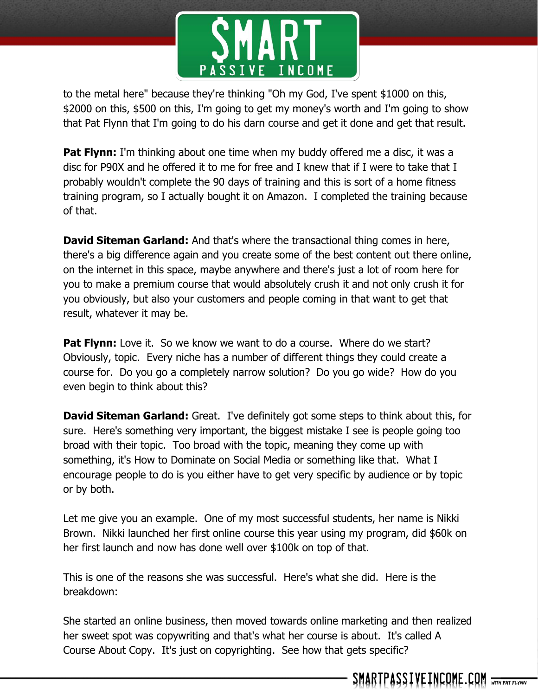

to the metal here" because they're thinking "Oh my God, I've spent \$1000 on this, \$2000 on this, \$500 on this, I'm going to get my money's worth and I'm going to show that Pat Flynn that I'm going to do his darn course and get it done and get that result.

**Pat Flynn:** I'm thinking about one time when my buddy offered me a disc, it was a disc for P90X and he offered it to me for free and I knew that if I were to take that I probably wouldn't complete the 90 days of training and this is sort of a home fitness training program, so I actually bought it on Amazon. I completed the training because of that.

**David Siteman Garland:** And that's where the transactional thing comes in here, there's a big difference again and you create some of the best content out there online, on the internet in this space, maybe anywhere and there's just a lot of room here for you to make a premium course that would absolutely crush it and not only crush it for you obviously, but also your customers and people coming in that want to get that result, whatever it may be.

**Pat Flynn:** Love it. So we know we want to do a course. Where do we start? Obviously, topic. Every niche has a number of different things they could create a course for. Do you go a completely narrow solution? Do you go wide? How do you even begin to think about this?

**David Siteman Garland:** Great. I've definitely got some steps to think about this, for sure. Here's something very important, the biggest mistake I see is people going too broad with their topic. Too broad with the topic, meaning they come up with something, it's How to Dominate on Social Media or something like that. What I encourage people to do is you either have to get very specific by audience or by topic or by both.

Let me give you an example. One of my most successful students, her name is Nikki Brown. Nikki launched her first online course this year using my program, did \$60k on her first launch and now has done well over \$100k on top of that.

This is one of the reasons she was successful. Here's what she did. Here is the breakdown:

She started an online business, then moved towards online marketing and then realized her sweet spot was copywriting and that's what her course is about. It's called A Course About Copy. It's just on copyrighting. See how that gets specific?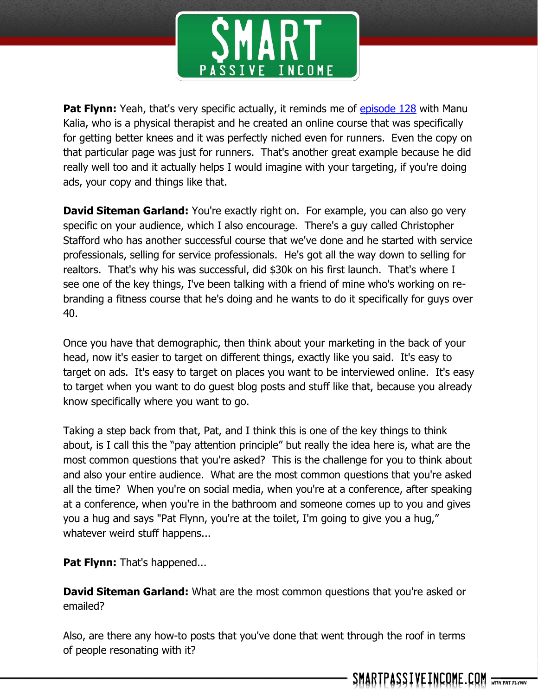

**Pat Flynn:** Yeah, that's very specific actually, it reminds me of [episode 128](http://smartpassiveincome.com/session128) with Manu Kalia, who is a physical therapist and he created an online course that was specifically for getting better knees and it was perfectly niched even for runners. Even the copy on that particular page was just for runners. That's another great example because he did really well too and it actually helps I would imagine with your targeting, if you're doing ads, your copy and things like that.

**David Siteman Garland:** You're exactly right on. For example, you can also go very specific on your audience, which I also encourage. There's a guy called Christopher Stafford who has another successful course that we've done and he started with service professionals, selling for service professionals. He's got all the way down to selling for realtors. That's why his was successful, did \$30k on his first launch. That's where I see one of the key things, I've been talking with a friend of mine who's working on rebranding a fitness course that he's doing and he wants to do it specifically for guys over 40.

Once you have that demographic, then think about your marketing in the back of your head, now it's easier to target on different things, exactly like you said. It's easy to target on ads. It's easy to target on places you want to be interviewed online. It's easy to target when you want to do guest blog posts and stuff like that, because you already know specifically where you want to go.

Taking a step back from that, Pat, and I think this is one of the key things to think about, is I call this the "pay attention principle" but really the idea here is, what are the most common questions that you're asked? This is the challenge for you to think about and also your entire audience. What are the most common questions that you're asked all the time? When you're on social media, when you're at a conference, after speaking at a conference, when you're in the bathroom and someone comes up to you and gives you a hug and says "Pat Flynn, you're at the toilet, I'm going to give you a hug," whatever weird stuff happens...

**Pat Flynn:** That's happened...

**David Siteman Garland:** What are the most common questions that you're asked or emailed?

Also, are there any how-to posts that you've done that went through the roof in terms of people resonating with it?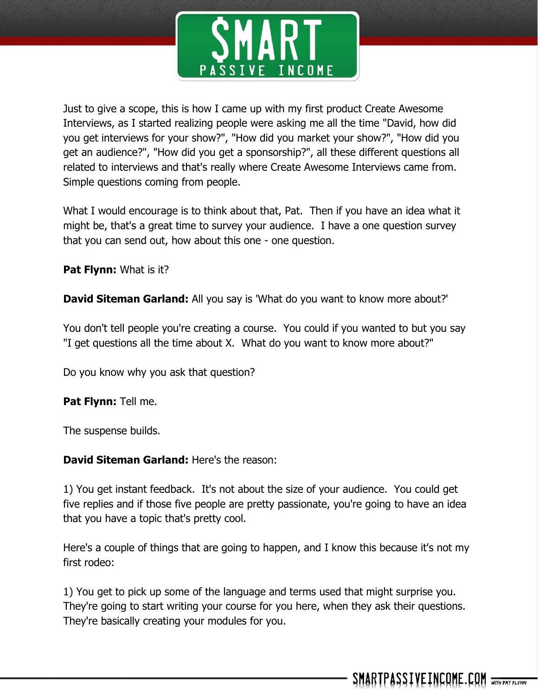

Just to give a scope, this is how I came up with my first product Create Awesome Interviews, as I started realizing people were asking me all the time "David, how did you get interviews for your show?", "How did you market your show?", "How did you get an audience?", "How did you get a sponsorship?", all these different questions all related to interviews and that's really where Create Awesome Interviews came from. Simple questions coming from people.

What I would encourage is to think about that, Pat. Then if you have an idea what it might be, that's a great time to survey your audience. I have a one question survey that you can send out, how about this one - one question.

**Pat Flynn:** What is it?

**David Siteman Garland:** All you say is 'What do you want to know more about?'

You don't tell people you're creating a course. You could if you wanted to but you say "I get questions all the time about X. What do you want to know more about?"

Do you know why you ask that question?

**Pat Flynn:** Tell me.

The suspense builds.

## **David Siteman Garland:** Here's the reason:

1) You get instant feedback. It's not about the size of your audience. You could get five replies and if those five people are pretty passionate, you're going to have an idea that you have a topic that's pretty cool.

Here's a couple of things that are going to happen, and I know this because it's not my first rodeo:

1) You get to pick up some of the language and terms used that might surprise you. They're going to start writing your course for you here, when they ask their questions. They're basically creating your modules for you.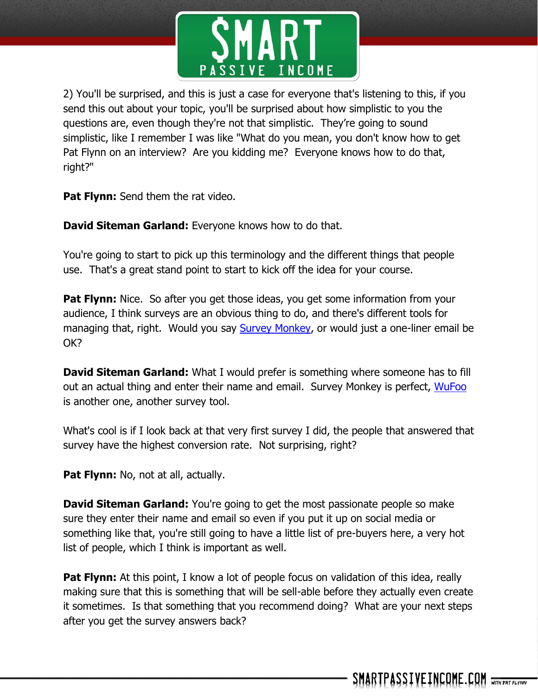

2) You'll be surprised, and this is just a case for everyone that's listening to this, if you send this out about your topic, you'll be surprised about how simplistic to you the questions are, even though they're not that simplistic. They're going to sound simplistic, like I remember I was like "What do you mean, you don't know how to get Pat Flynn on an interview? Are you kidding me? Everyone knows how to do that, right?"

**Pat Flynn:** Send them the rat video.

**David Siteman Garland:** Everyone knows how to do that.

You're going to start to pick up this terminology and the different things that people use. That's a great stand point to start to kick off the idea for your course.

**Pat Flynn:** Nice. So after you get those ideas, you get some information from your audience, I think surveys are an obvious thing to do, and there's different tools for managing that, right. Would you say [Survey Monkey,](https://www.surveymonkey.com/) or would just a one-liner email be OK?

**David Siteman Garland:** What I would prefer is something where someone has to fill out an actual thing and enter their name and email. Survey Monkey is perfect, [WuFoo](http://www.wufoo.com/) is another one, another survey tool.

What's cool is if I look back at that very first survey I did, the people that answered that survey have the highest conversion rate. Not surprising, right?

**Pat Flynn:** No, not at all, actually.

**David Siteman Garland:** You're going to get the most passionate people so make sure they enter their name and email so even if you put it up on social media or something like that, you're still going to have a little list of pre-buyers here, a very hot list of people, which I think is important as well.

**Pat Flynn:** At this point, I know a lot of people focus on validation of this idea, really making sure that this is something that will be sell-able before they actually even create it sometimes. Is that something that you recommend doing? What are your next steps after you get the survey answers back?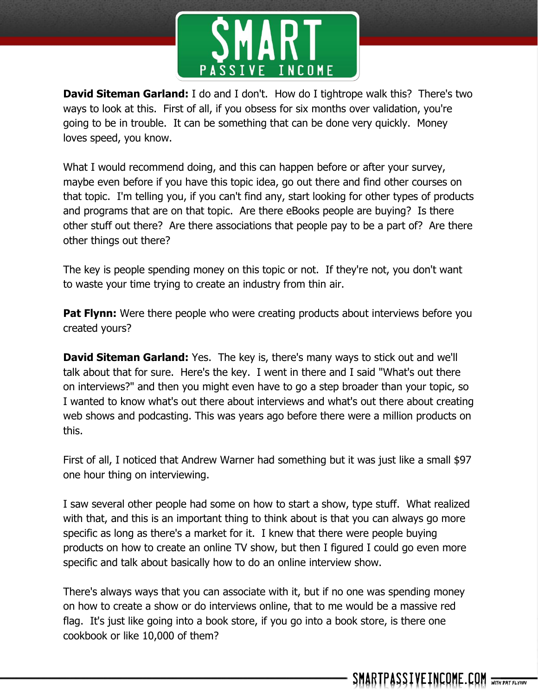

**David Siteman Garland:** I do and I don't. How do I tightrope walk this? There's two ways to look at this. First of all, if you obsess for six months over validation, you're going to be in trouble. It can be something that can be done very quickly. Money loves speed, you know.

What I would recommend doing, and this can happen before or after your survey, maybe even before if you have this topic idea, go out there and find other courses on that topic. I'm telling you, if you can't find any, start looking for other types of products and programs that are on that topic. Are there eBooks people are buying? Is there other stuff out there? Are there associations that people pay to be a part of? Are there other things out there?

The key is people spending money on this topic or not. If they're not, you don't want to waste your time trying to create an industry from thin air.

**Pat Flynn:** Were there people who were creating products about interviews before you created yours?

**David Siteman Garland:** Yes. The key is, there's many ways to stick out and we'll talk about that for sure. Here's the key. I went in there and I said "What's out there on interviews?" and then you might even have to go a step broader than your topic, so I wanted to know what's out there about interviews and what's out there about creating web shows and podcasting. This was years ago before there were a million products on this.

First of all, I noticed that Andrew Warner had something but it was just like a small \$97 one hour thing on interviewing.

I saw several other people had some on how to start a show, type stuff. What realized with that, and this is an important thing to think about is that you can always go more specific as long as there's a market for it. I knew that there were people buying products on how to create an online TV show, but then I figured I could go even more specific and talk about basically how to do an online interview show.

There's always ways that you can associate with it, but if no one was spending money on how to create a show or do interviews online, that to me would be a massive red flag. It's just like going into a book store, if you go into a book store, is there one cookbook or like 10,000 of them?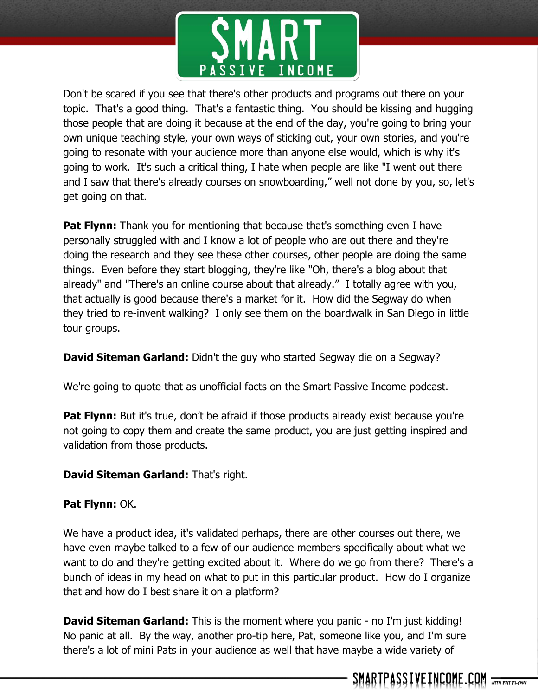

Don't be scared if you see that there's other products and programs out there on your topic. That's a good thing. That's a fantastic thing. You should be kissing and hugging those people that are doing it because at the end of the day, you're going to bring your own unique teaching style, your own ways of sticking out, your own stories, and you're going to resonate with your audience more than anyone else would, which is why it's going to work. It's such a critical thing, I hate when people are like "I went out there and I saw that there's already courses on snowboarding," well not done by you, so, let's get going on that.

**Pat Flynn:** Thank you for mentioning that because that's something even I have personally struggled with and I know a lot of people who are out there and they're doing the research and they see these other courses, other people are doing the same things. Even before they start blogging, they're like "Oh, there's a blog about that already" and "There's an online course about that already." I totally agree with you, that actually is good because there's a market for it. How did the Segway do when they tried to re-invent walking? I only see them on the boardwalk in San Diego in little tour groups.

**David Siteman Garland:** Didn't the guy who started Segway die on a Segway?

We're going to quote that as unofficial facts on the Smart Passive Income podcast.

**Pat Flynn:** But it's true, don't be afraid if those products already exist because you're not going to copy them and create the same product, you are just getting inspired and validation from those products.

# **David Siteman Garland:** That's right.

# **Pat Flynn:** OK.

We have a product idea, it's validated perhaps, there are other courses out there, we have even maybe talked to a few of our audience members specifically about what we want to do and they're getting excited about it. Where do we go from there? There's a bunch of ideas in my head on what to put in this particular product. How do I organize that and how do I best share it on a platform?

**David Siteman Garland:** This is the moment where you panic - no I'm just kidding! No panic at all. By the way, another pro-tip here, Pat, someone like you, and I'm sure there's a lot of mini Pats in your audience as well that have maybe a wide variety of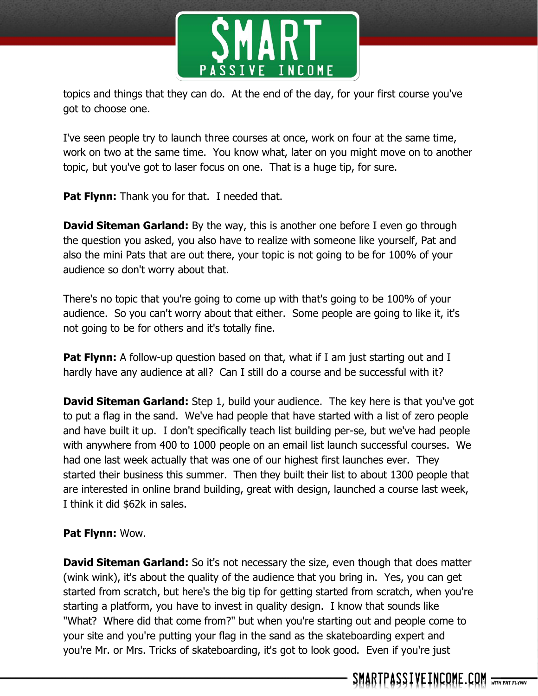

topics and things that they can do. At the end of the day, for your first course you've got to choose one.

I've seen people try to launch three courses at once, work on four at the same time, work on two at the same time. You know what, later on you might move on to another topic, but you've got to laser focus on one. That is a huge tip, for sure.

**Pat Flynn:** Thank you for that. I needed that.

**David Siteman Garland:** By the way, this is another one before I even go through the question you asked, you also have to realize with someone like yourself, Pat and also the mini Pats that are out there, your topic is not going to be for 100% of your audience so don't worry about that.

There's no topic that you're going to come up with that's going to be 100% of your audience. So you can't worry about that either. Some people are going to like it, it's not going to be for others and it's totally fine.

**Pat Flynn:** A follow-up question based on that, what if I am just starting out and I hardly have any audience at all? Can I still do a course and be successful with it?

**David Siteman Garland:** Step 1, build your audience. The key here is that you've got to put a flag in the sand. We've had people that have started with a list of zero people and have built it up. I don't specifically teach list building per-se, but we've had people with anywhere from 400 to 1000 people on an email list launch successful courses. We had one last week actually that was one of our highest first launches ever. They started their business this summer. Then they built their list to about 1300 people that are interested in online brand building, great with design, launched a course last week, I think it did \$62k in sales.

# **Pat Flynn:** Wow.

**David Siteman Garland:** So it's not necessary the size, even though that does matter (wink wink), it's about the quality of the audience that you bring in. Yes, you can get started from scratch, but here's the big tip for getting started from scratch, when you're starting a platform, you have to invest in quality design. I know that sounds like "What? Where did that come from?" but when you're starting out and people come to your site and you're putting your flag in the sand as the skateboarding expert and you're Mr. or Mrs. Tricks of skateboarding, it's got to look good. Even if you're just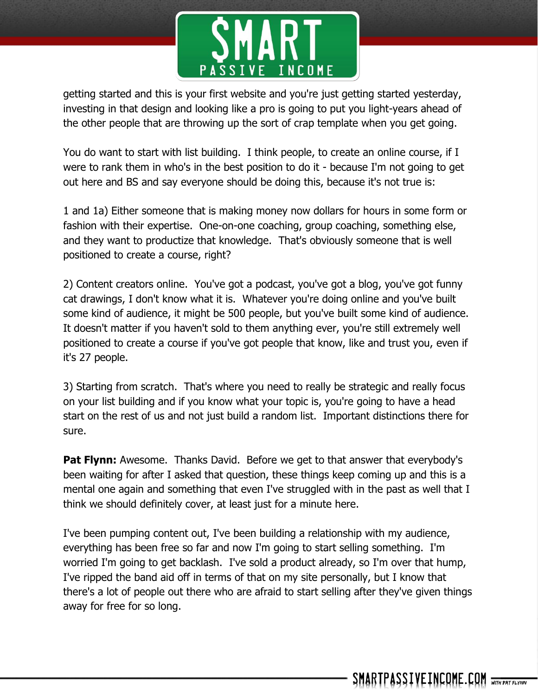

getting started and this is your first website and you're just getting started yesterday, investing in that design and looking like a pro is going to put you light-years ahead of the other people that are throwing up the sort of crap template when you get going.

You do want to start with list building. I think people, to create an online course, if I were to rank them in who's in the best position to do it - because I'm not going to get out here and BS and say everyone should be doing this, because it's not true is:

1 and 1a) Either someone that is making money now dollars for hours in some form or fashion with their expertise. One-on-one coaching, group coaching, something else, and they want to productize that knowledge. That's obviously someone that is well positioned to create a course, right?

2) Content creators online. You've got a podcast, you've got a blog, you've got funny cat drawings, I don't know what it is. Whatever you're doing online and you've built some kind of audience, it might be 500 people, but you've built some kind of audience. It doesn't matter if you haven't sold to them anything ever, you're still extremely well positioned to create a course if you've got people that know, like and trust you, even if it's 27 people.

3) Starting from scratch. That's where you need to really be strategic and really focus on your list building and if you know what your topic is, you're going to have a head start on the rest of us and not just build a random list. Important distinctions there for sure.

**Pat Flynn:** Awesome. Thanks David. Before we get to that answer that everybody's been waiting for after I asked that question, these things keep coming up and this is a mental one again and something that even I've struggled with in the past as well that I think we should definitely cover, at least just for a minute here.

I've been pumping content out, I've been building a relationship with my audience, everything has been free so far and now I'm going to start selling something. I'm worried I'm going to get backlash. I've sold a product already, so I'm over that hump, I've ripped the band aid off in terms of that on my site personally, but I know that there's a lot of people out there who are afraid to start selling after they've given things away for free for so long.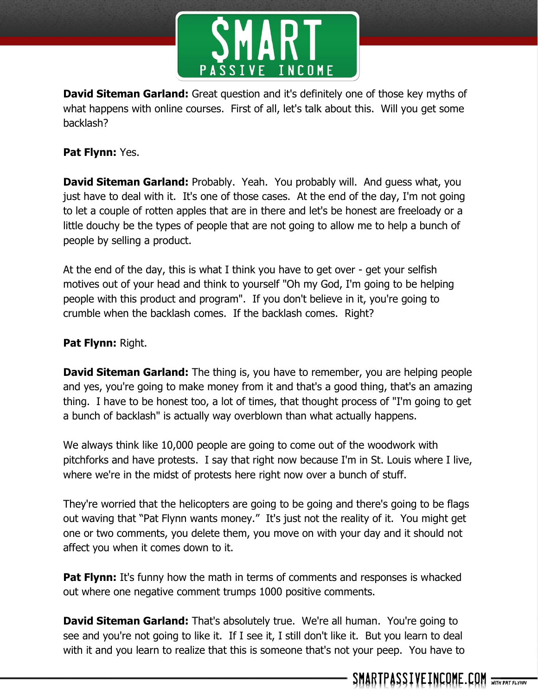

**David Siteman Garland:** Great question and it's definitely one of those key myths of what happens with online courses. First of all, let's talk about this. Will you get some backlash?

# **Pat Flynn:** Yes.

**David Siteman Garland:** Probably. Yeah. You probably will. And guess what, you just have to deal with it. It's one of those cases. At the end of the day, I'm not going to let a couple of rotten apples that are in there and let's be honest are freeloady or a little douchy be the types of people that are not going to allow me to help a bunch of people by selling a product.

At the end of the day, this is what I think you have to get over - get your selfish motives out of your head and think to yourself "Oh my God, I'm going to be helping people with this product and program". If you don't believe in it, you're going to crumble when the backlash comes. If the backlash comes. Right?

## **Pat Flynn:** Right.

**David Siteman Garland:** The thing is, you have to remember, you are helping people and yes, you're going to make money from it and that's a good thing, that's an amazing thing. I have to be honest too, a lot of times, that thought process of "I'm going to get a bunch of backlash" is actually way overblown than what actually happens.

We always think like 10,000 people are going to come out of the woodwork with pitchforks and have protests. I say that right now because I'm in St. Louis where I live, where we're in the midst of protests here right now over a bunch of stuff.

They're worried that the helicopters are going to be going and there's going to be flags out waving that "Pat Flynn wants money." It's just not the reality of it. You might get one or two comments, you delete them, you move on with your day and it should not affect you when it comes down to it.

**Pat Flynn:** It's funny how the math in terms of comments and responses is whacked out where one negative comment trumps 1000 positive comments.

**David Siteman Garland:** That's absolutely true. We're all human. You're going to see and you're not going to like it. If I see it, I still don't like it. But you learn to deal with it and you learn to realize that this is someone that's not your peep. You have to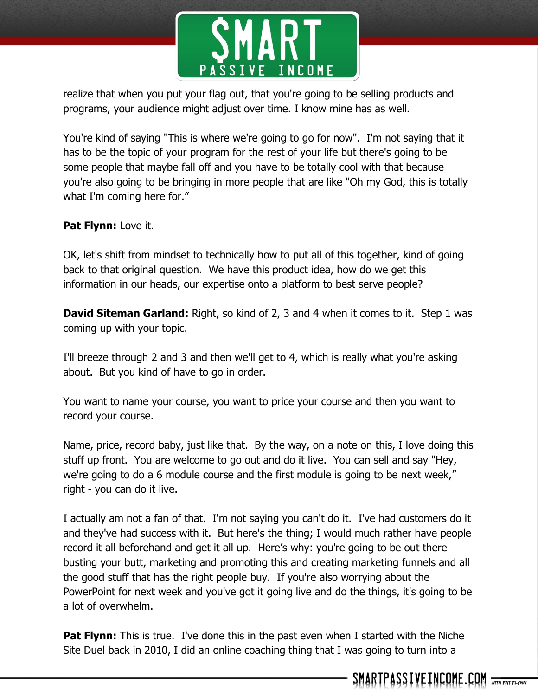

realize that when you put your flag out, that you're going to be selling products and programs, your audience might adjust over time. I know mine has as well.

You're kind of saying "This is where we're going to go for now". I'm not saying that it has to be the topic of your program for the rest of your life but there's going to be some people that maybe fall off and you have to be totally cool with that because you're also going to be bringing in more people that are like "Oh my God, this is totally what I'm coming here for."

## **Pat Flynn:** Love it.

OK, let's shift from mindset to technically how to put all of this together, kind of going back to that original question. We have this product idea, how do we get this information in our heads, our expertise onto a platform to best serve people?

**David Siteman Garland:** Right, so kind of 2, 3 and 4 when it comes to it. Step 1 was coming up with your topic.

I'll breeze through 2 and 3 and then we'll get to 4, which is really what you're asking about. But you kind of have to go in order.

You want to name your course, you want to price your course and then you want to record your course.

Name, price, record baby, just like that. By the way, on a note on this, I love doing this stuff up front. You are welcome to go out and do it live. You can sell and say "Hey, we're going to do a 6 module course and the first module is going to be next week," right - you can do it live.

I actually am not a fan of that. I'm not saying you can't do it. I've had customers do it and they've had success with it. But here's the thing; I would much rather have people record it all beforehand and get it all up. Here's why: you're going to be out there busting your butt, marketing and promoting this and creating marketing funnels and all the good stuff that has the right people buy. If you're also worrying about the PowerPoint for next week and you've got it going live and do the things, it's going to be a lot of overwhelm.

**Pat Flynn:** This is true. I've done this in the past even when I started with the Niche Site Duel back in 2010, I did an online coaching thing that I was going to turn into a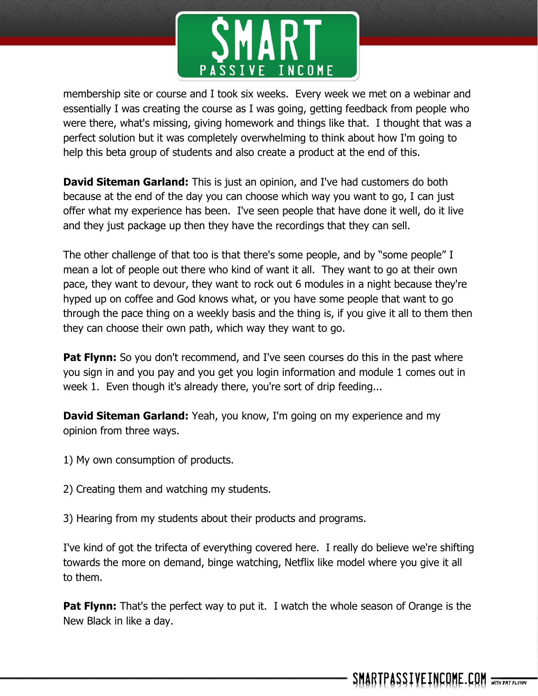

membership site or course and I took six weeks. Every week we met on a webinar and essentially I was creating the course as I was going, getting feedback from people who were there, what's missing, giving homework and things like that. I thought that was a perfect solution but it was completely overwhelming to think about how I'm going to help this beta group of students and also create a product at the end of this.

**David Siteman Garland:** This is just an opinion, and I've had customers do both because at the end of the day you can choose which way you want to go, I can just offer what my experience has been. I've seen people that have done it well, do it live and they just package up then they have the recordings that they can sell.

The other challenge of that too is that there's some people, and by "some people" I mean a lot of people out there who kind of want it all. They want to go at their own pace, they want to devour, they want to rock out 6 modules in a night because they're hyped up on coffee and God knows what, or you have some people that want to go through the pace thing on a weekly basis and the thing is, if you give it all to them then they can choose their own path, which way they want to go.

**Pat Flynn:** So you don't recommend, and I've seen courses do this in the past where you sign in and you pay and you get you login information and module 1 comes out in week 1. Even though it's already there, you're sort of drip feeding...

**David Siteman Garland:** Yeah, you know, I'm going on my experience and my opinion from three ways.

- 1) My own consumption of products.
- 2) Creating them and watching my students.
- 3) Hearing from my students about their products and programs.

I've kind of got the trifecta of everything covered here. I really do believe we're shifting towards the more on demand, binge watching, Netflix like model where you give it all to them.

**Pat Flynn:** That's the perfect way to put it. I watch the whole season of Orange is the New Black in like a day.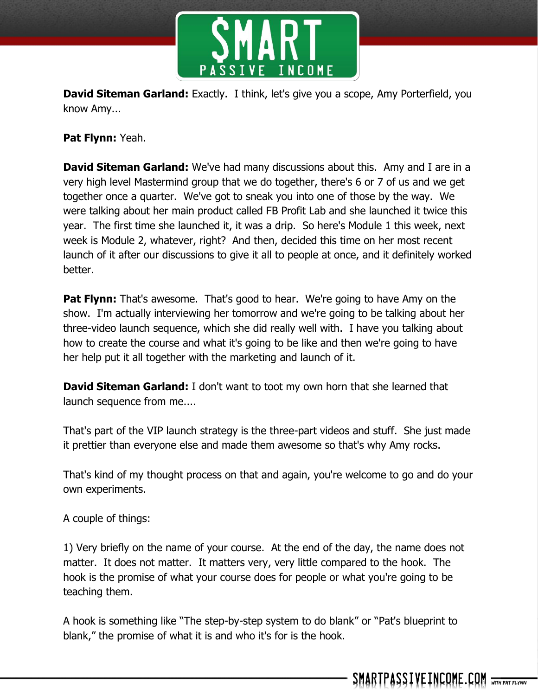

**David Siteman Garland:** Exactly. I think, let's give you a scope, Amy Porterfield, you know Amy...

**Pat Flynn:** Yeah.

**David Siteman Garland:** We've had many discussions about this. Amy and I are in a very high level Mastermind group that we do together, there's 6 or 7 of us and we get together once a quarter. We've got to sneak you into one of those by the way. We were talking about her main product called FB Profit Lab and she launched it twice this year. The first time she launched it, it was a drip. So here's Module 1 this week, next week is Module 2, whatever, right? And then, decided this time on her most recent launch of it after our discussions to give it all to people at once, and it definitely worked better.

**Pat Flynn:** That's awesome. That's good to hear. We're going to have Amy on the show. I'm actually interviewing her tomorrow and we're going to be talking about her three-video launch sequence, which she did really well with. I have you talking about how to create the course and what it's going to be like and then we're going to have her help put it all together with the marketing and launch of it.

**David Siteman Garland:** I don't want to toot my own horn that she learned that launch sequence from me....

That's part of the VIP launch strategy is the three-part videos and stuff. She just made it prettier than everyone else and made them awesome so that's why Amy rocks.

That's kind of my thought process on that and again, you're welcome to go and do your own experiments.

A couple of things:

1) Very briefly on the name of your course. At the end of the day, the name does not matter. It does not matter. It matters very, very little compared to the hook. The hook is the promise of what your course does for people or what you're going to be teaching them.

A hook is something like "The step-by-step system to do blank" or "Pat's blueprint to blank," the promise of what it is and who it's for is the hook.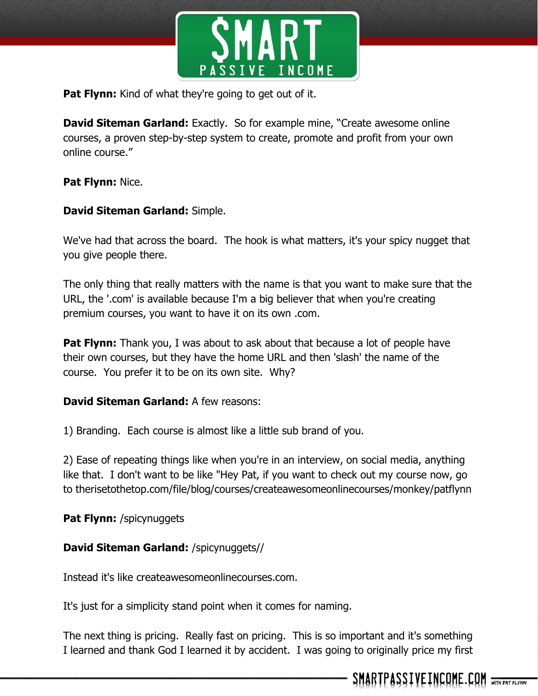

**Pat Flynn:** Kind of what they're going to get out of it.

**David Siteman Garland:** Exactly. So for example mine, "Create awesome online courses, a proven step-by-step system to create, promote and profit from your own online course."

## **Pat Flynn:** Nice.

#### **David Siteman Garland:** Simple.

We've had that across the board. The hook is what matters, it's your spicy nugget that you give people there.

The only thing that really matters with the name is that you want to make sure that the URL, the '.com' is available because I'm a big believer that when you're creating premium courses, you want to have it on its own .com.

**Pat Flynn:** Thank you, I was about to ask about that because a lot of people have their own courses, but they have the home URL and then 'slash' the name of the course. You prefer it to be on its own site. Why?

## **David Siteman Garland:** A few reasons:

1) Branding. Each course is almost like a little sub brand of you.

2) Ease of repeating things like when you're in an interview, on social media, anything like that. I don't want to be like "Hey Pat, if you want to check out my course now, go to therisetothetop.com/file/blog/courses/createawesomeonlinecourses/monkey/patflynn

**Pat Flynn:** /spicynuggets

## **David Siteman Garland:** /spicynuggets//

Instead it's like createawesomeonlinecourses.com.

It's just for a simplicity stand point when it comes for naming.

The next thing is pricing. Really fast on pricing. This is so important and it's something I learned and thank God I learned it by accident. I was going to originally price my first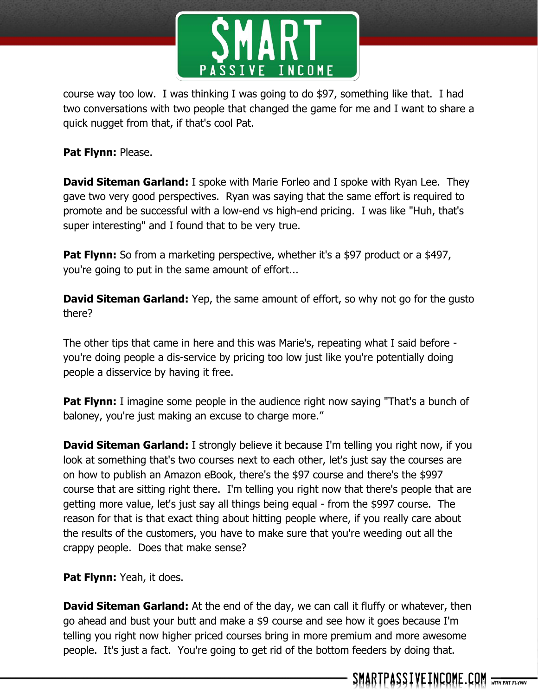

course way too low. I was thinking I was going to do \$97, something like that. I had two conversations with two people that changed the game for me and I want to share a quick nugget from that, if that's cool Pat.

**Pat Flynn:** Please.

**David Siteman Garland:** I spoke with Marie Forleo and I spoke with Ryan Lee. They gave two very good perspectives. Ryan was saying that the same effort is required to promote and be successful with a low-end vs high-end pricing. I was like "Huh, that's super interesting" and I found that to be very true.

**Pat Flynn:** So from a marketing perspective, whether it's a \$97 product or a \$497, you're going to put in the same amount of effort...

**David Siteman Garland:** Yep, the same amount of effort, so why not go for the gusto there?

The other tips that came in here and this was Marie's, repeating what I said before you're doing people a dis-service by pricing too low just like you're potentially doing people a disservice by having it free.

**Pat Flynn:** I imagine some people in the audience right now saying "That's a bunch of baloney, you're just making an excuse to charge more."

**David Siteman Garland:** I strongly believe it because I'm telling you right now, if you look at something that's two courses next to each other, let's just say the courses are on how to publish an Amazon eBook, there's the \$97 course and there's the \$997 course that are sitting right there. I'm telling you right now that there's people that are getting more value, let's just say all things being equal - from the \$997 course. The reason for that is that exact thing about hitting people where, if you really care about the results of the customers, you have to make sure that you're weeding out all the crappy people. Does that make sense?

**Pat Flynn:** Yeah, it does.

**David Siteman Garland:** At the end of the day, we can call it fluffy or whatever, then go ahead and bust your butt and make a \$9 course and see how it goes because I'm telling you right now higher priced courses bring in more premium and more awesome people. It's just a fact. You're going to get rid of the bottom feeders by doing that.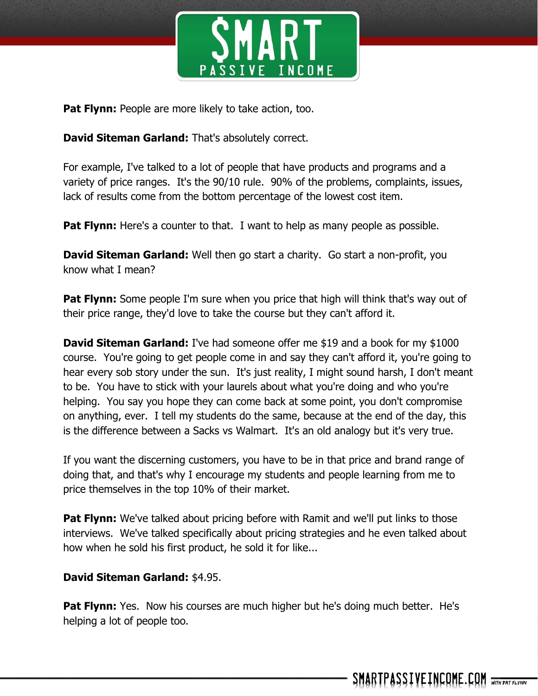

**Pat Flynn:** People are more likely to take action, too.

**David Siteman Garland:** That's absolutely correct.

For example, I've talked to a lot of people that have products and programs and a variety of price ranges. It's the 90/10 rule. 90% of the problems, complaints, issues, lack of results come from the bottom percentage of the lowest cost item.

**Pat Flynn:** Here's a counter to that. I want to help as many people as possible.

**David Siteman Garland:** Well then go start a charity. Go start a non-profit, you know what I mean?

**Pat Flynn:** Some people I'm sure when you price that high will think that's way out of their price range, they'd love to take the course but they can't afford it.

**David Siteman Garland:** I've had someone offer me \$19 and a book for my \$1000 course. You're going to get people come in and say they can't afford it, you're going to hear every sob story under the sun. It's just reality, I might sound harsh, I don't meant to be. You have to stick with your laurels about what you're doing and who you're helping. You say you hope they can come back at some point, you don't compromise on anything, ever. I tell my students do the same, because at the end of the day, this is the difference between a Sacks vs Walmart. It's an old analogy but it's very true.

If you want the discerning customers, you have to be in that price and brand range of doing that, and that's why I encourage my students and people learning from me to price themselves in the top 10% of their market.

**Pat Flynn:** We've talked about pricing before with Ramit and we'll put links to those interviews. We've talked specifically about pricing strategies and he even talked about how when he sold his first product, he sold it for like...

## **David Siteman Garland:** \$4.95.

**Pat Flynn:** Yes. Now his courses are much higher but he's doing much better. He's helping a lot of people too.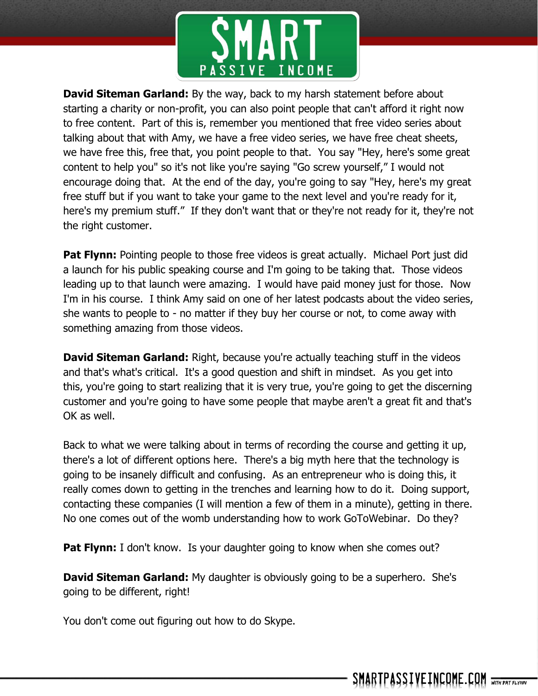

**David Siteman Garland:** By the way, back to my harsh statement before about starting a charity or non-profit, you can also point people that can't afford it right now to free content. Part of this is, remember you mentioned that free video series about talking about that with Amy, we have a free video series, we have free cheat sheets, we have free this, free that, you point people to that. You say "Hey, here's some great content to help you" so it's not like you're saying "Go screw yourself," I would not encourage doing that. At the end of the day, you're going to say "Hey, here's my great free stuff but if you want to take your game to the next level and you're ready for it, here's my premium stuff." If they don't want that or they're not ready for it, they're not the right customer.

**Pat Flynn:** Pointing people to those free videos is great actually. Michael Port just did a launch for his public speaking course and I'm going to be taking that. Those videos leading up to that launch were amazing. I would have paid money just for those. Now I'm in his course. I think Amy said on one of her latest podcasts about the video series, she wants to people to - no matter if they buy her course or not, to come away with something amazing from those videos.

**David Siteman Garland:** Right, because you're actually teaching stuff in the videos and that's what's critical. It's a good question and shift in mindset. As you get into this, you're going to start realizing that it is very true, you're going to get the discerning customer and you're going to have some people that maybe aren't a great fit and that's OK as well.

Back to what we were talking about in terms of recording the course and getting it up, there's a lot of different options here. There's a big myth here that the technology is going to be insanely difficult and confusing. As an entrepreneur who is doing this, it really comes down to getting in the trenches and learning how to do it. Doing support, contacting these companies (I will mention a few of them in a minute), getting in there. No one comes out of the womb understanding how to work GoToWebinar. Do they?

**Pat Flynn:** I don't know. Is your daughter going to know when she comes out?

**David Siteman Garland:** My daughter is obviously going to be a superhero. She's going to be different, right!

You don't come out figuring out how to do Skype.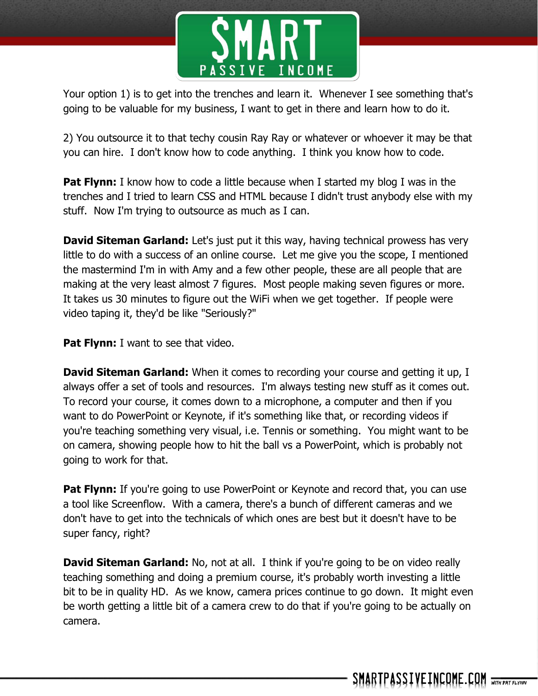

Your option 1) is to get into the trenches and learn it. Whenever I see something that's going to be valuable for my business, I want to get in there and learn how to do it.

2) You outsource it to that techy cousin Ray Ray or whatever or whoever it may be that you can hire. I don't know how to code anything. I think you know how to code.

**Pat Flynn:** I know how to code a little because when I started my blog I was in the trenches and I tried to learn CSS and HTML because I didn't trust anybody else with my stuff. Now I'm trying to outsource as much as I can.

**David Siteman Garland:** Let's just put it this way, having technical prowess has very little to do with a success of an online course. Let me give you the scope, I mentioned the mastermind I'm in with Amy and a few other people, these are all people that are making at the very least almost 7 figures. Most people making seven figures or more. It takes us 30 minutes to figure out the WiFi when we get together. If people were video taping it, they'd be like "Seriously?"

**Pat Flynn:** I want to see that video.

**David Siteman Garland:** When it comes to recording your course and getting it up, I always offer a set of tools and resources. I'm always testing new stuff as it comes out. To record your course, it comes down to a microphone, a computer and then if you want to do PowerPoint or Keynote, if it's something like that, or recording videos if you're teaching something very visual, i.e. Tennis or something. You might want to be on camera, showing people how to hit the ball vs a PowerPoint, which is probably not going to work for that.

**Pat Flynn:** If you're going to use PowerPoint or Keynote and record that, you can use a tool like Screenflow. With a camera, there's a bunch of different cameras and we don't have to get into the technicals of which ones are best but it doesn't have to be super fancy, right?

**David Siteman Garland:** No, not at all. I think if you're going to be on video really teaching something and doing a premium course, it's probably worth investing a little bit to be in quality HD. As we know, camera prices continue to go down. It might even be worth getting a little bit of a camera crew to do that if you're going to be actually on camera.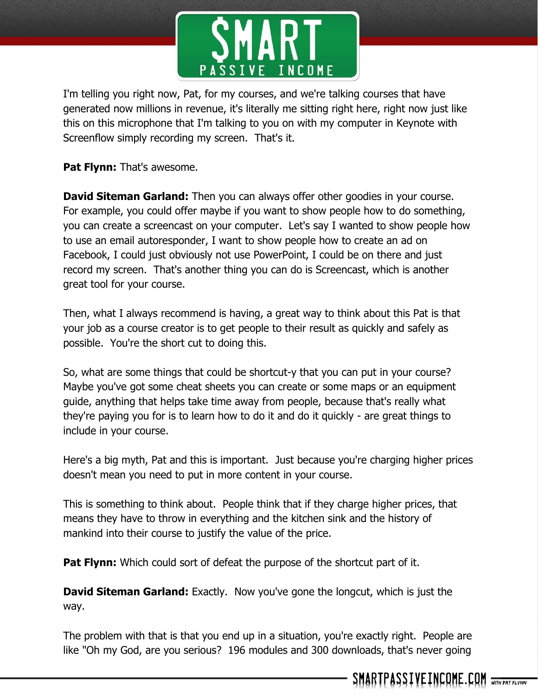

I'm telling you right now, Pat, for my courses, and we're talking courses that have generated now millions in revenue, it's literally me sitting right here, right now just like this on this microphone that I'm talking to you on with my computer in Keynote with Screenflow simply recording my screen. That's it.

**Pat Flynn:** That's awesome.

**David Siteman Garland:** Then you can always offer other goodies in your course. For example, you could offer maybe if you want to show people how to do something, you can create a screencast on your computer. Let's say I wanted to show people how to use an email autoresponder, I want to show people how to create an ad on Facebook, I could just obviously not use PowerPoint, I could be on there and just record my screen. That's another thing you can do is Screencast, which is another great tool for your course.

Then, what I always recommend is having, a great way to think about this Pat is that your job as a course creator is to get people to their result as quickly and safely as possible. You're the short cut to doing this.

So, what are some things that could be shortcut-y that you can put in your course? Maybe you've got some cheat sheets you can create or some maps or an equipment guide, anything that helps take time away from people, because that's really what they're paying you for is to learn how to do it and do it quickly - are great things to include in your course.

Here's a big myth, Pat and this is important. Just because you're charging higher prices doesn't mean you need to put in more content in your course.

This is something to think about. People think that if they charge higher prices, that means they have to throw in everything and the kitchen sink and the history of mankind into their course to justify the value of the price.

**Pat Flynn:** Which could sort of defeat the purpose of the shortcut part of it.

**David Siteman Garland:** Exactly. Now you've gone the longcut, which is just the way.

The problem with that is that you end up in a situation, you're exactly right. People are like "Oh my God, are you serious? 196 modules and 300 downloads, that's never going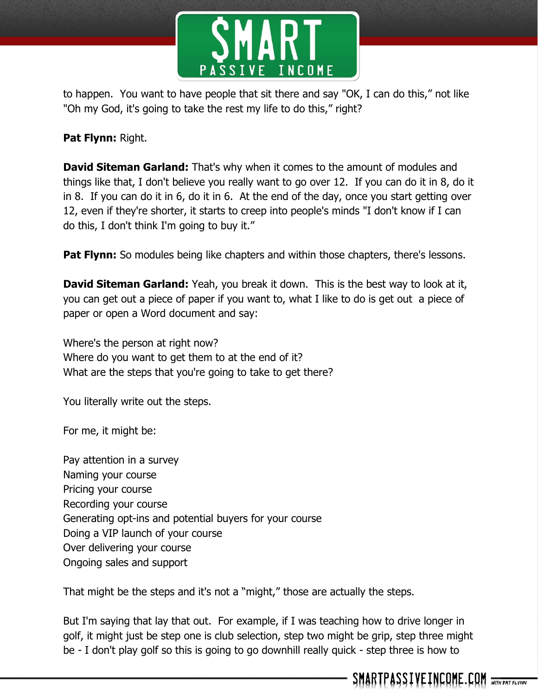

to happen. You want to have people that sit there and say "OK, I can do this," not like "Oh my God, it's going to take the rest my life to do this," right?

## **Pat Flynn:** Right.

**David Siteman Garland:** That's why when it comes to the amount of modules and things like that, I don't believe you really want to go over 12. If you can do it in 8, do it in 8. If you can do it in 6, do it in 6. At the end of the day, once you start getting over 12, even if they're shorter, it starts to creep into people's minds "I don't know if I can do this, I don't think I'm going to buy it."

**Pat Flynn:** So modules being like chapters and within those chapters, there's lessons.

**David Siteman Garland:** Yeah, you break it down. This is the best way to look at it, you can get out a piece of paper if you want to, what I like to do is get out a piece of paper or open a Word document and say:

Where's the person at right now? Where do you want to get them to at the end of it? What are the steps that you're going to take to get there?

You literally write out the steps.

For me, it might be:

Pay attention in a survey Naming your course Pricing your course Recording your course Generating opt-ins and potential buyers for your course Doing a VIP launch of your course Over delivering your course Ongoing sales and support

That might be the steps and it's not a "might," those are actually the steps.

But I'm saying that lay that out. For example, if I was teaching how to drive longer in golf, it might just be step one is club selection, step two might be grip, step three might be - I don't play golf so this is going to go downhill really quick - step three is how to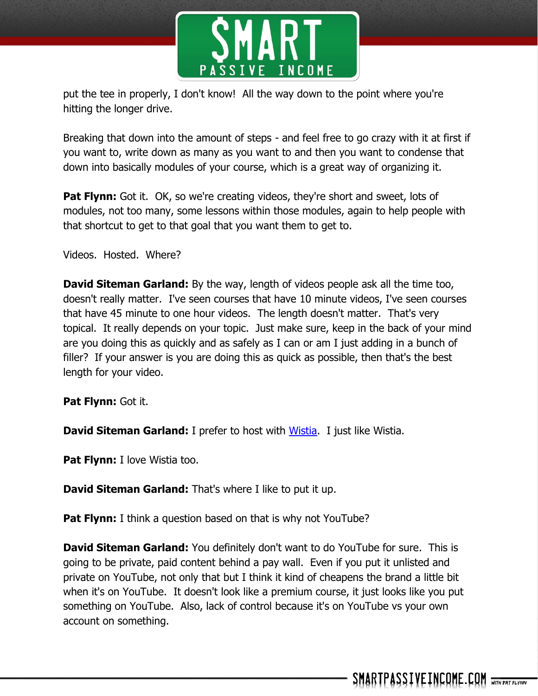

put the tee in properly, I don't know! All the way down to the point where you're hitting the longer drive.

Breaking that down into the amount of steps - and feel free to go crazy with it at first if you want to, write down as many as you want to and then you want to condense that down into basically modules of your course, which is a great way of organizing it.

**Pat Flynn:** Got it. OK, so we're creating videos, they're short and sweet, lots of modules, not too many, some lessons within those modules, again to help people with that shortcut to get to that goal that you want them to get to.

Videos. Hosted. Where?

**David Siteman Garland:** By the way, length of videos people ask all the time too, doesn't really matter. I've seen courses that have 10 minute videos, I've seen courses that have 45 minute to one hour videos. The length doesn't matter. That's very topical. It really depends on your topic. Just make sure, keep in the back of your mind are you doing this as quickly and as safely as I can or am I just adding in a bunch of filler? If your answer is you are doing this as quick as possible, then that's the best length for your video.

**Pat Flynn:** Got it.

**David Siteman Garland:** I prefer to host with [Wistia.](http://wistia.com/) I just like Wistia.

**Pat Flynn:** I love Wistia too.

**David Siteman Garland:** That's where I like to put it up.

**Pat Flynn:** I think a question based on that is why not YouTube?

**David Siteman Garland:** You definitely don't want to do YouTube for sure. This is going to be private, paid content behind a pay wall. Even if you put it unlisted and private on YouTube, not only that but I think it kind of cheapens the brand a little bit when it's on YouTube. It doesn't look like a premium course, it just looks like you put something on YouTube. Also, lack of control because it's on YouTube vs your own account on something.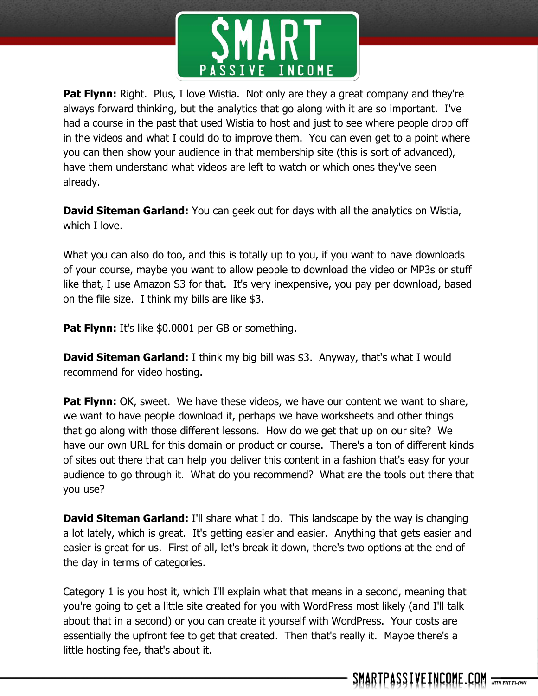

**Pat Flynn:** Right. Plus, I love Wistia. Not only are they a great company and they're always forward thinking, but the analytics that go along with it are so important. I've had a course in the past that used Wistia to host and just to see where people drop off in the videos and what I could do to improve them. You can even get to a point where you can then show your audience in that membership site (this is sort of advanced), have them understand what videos are left to watch or which ones they've seen already.

**David Siteman Garland:** You can geek out for days with all the analytics on Wistia, which I love.

What you can also do too, and this is totally up to you, if you want to have downloads of your course, maybe you want to allow people to download the video or MP3s or stuff like that, I use Amazon S3 for that. It's very inexpensive, you pay per download, based on the file size. I think my bills are like \$3.

**Pat Flynn:** It's like \$0.0001 per GB or something.

**David Siteman Garland:** I think my big bill was \$3. Anyway, that's what I would recommend for video hosting.

**Pat Flynn:** OK, sweet. We have these videos, we have our content we want to share, we want to have people download it, perhaps we have worksheets and other things that go along with those different lessons. How do we get that up on our site? We have our own URL for this domain or product or course. There's a ton of different kinds of sites out there that can help you deliver this content in a fashion that's easy for your audience to go through it. What do you recommend? What are the tools out there that you use?

**David Siteman Garland:** I'll share what I do. This landscape by the way is changing a lot lately, which is great. It's getting easier and easier. Anything that gets easier and easier is great for us. First of all, let's break it down, there's two options at the end of the day in terms of categories.

Category 1 is you host it, which I'll explain what that means in a second, meaning that you're going to get a little site created for you with WordPress most likely (and I'll talk about that in a second) or you can create it yourself with WordPress. Your costs are essentially the upfront fee to get that created. Then that's really it. Maybe there's a little hosting fee, that's about it.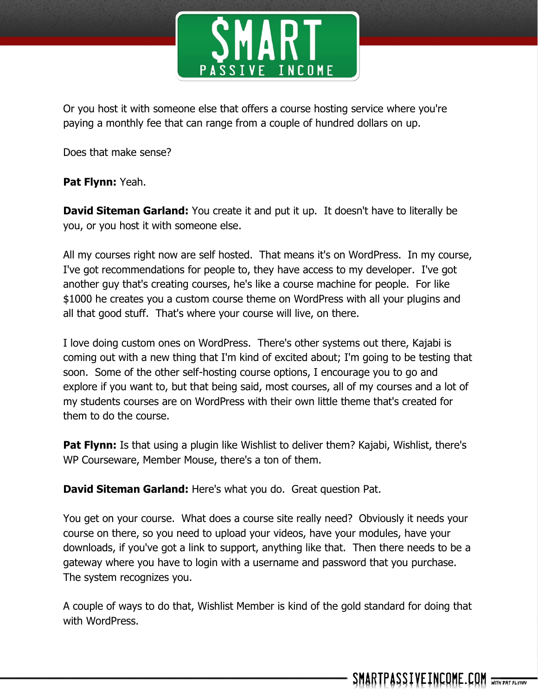

Or you host it with someone else that offers a course hosting service where you're paying a monthly fee that can range from a couple of hundred dollars on up.

Does that make sense?

## **Pat Flynn:** Yeah.

**David Siteman Garland:** You create it and put it up. It doesn't have to literally be you, or you host it with someone else.

All my courses right now are self hosted. That means it's on WordPress. In my course, I've got recommendations for people to, they have access to my developer. I've got another guy that's creating courses, he's like a course machine for people. For like \$1000 he creates you a custom course theme on WordPress with all your plugins and all that good stuff. That's where your course will live, on there.

I love doing custom ones on WordPress. There's other systems out there, Kajabi is coming out with a new thing that I'm kind of excited about; I'm going to be testing that soon. Some of the other self-hosting course options, I encourage you to go and explore if you want to, but that being said, most courses, all of my courses and a lot of my students courses are on WordPress with their own little theme that's created for them to do the course.

**Pat Flynn:** Is that using a plugin like Wishlist to deliver them? Kajabi, Wishlist, there's WP Courseware, Member Mouse, there's a ton of them.

**David Siteman Garland:** Here's what you do. Great question Pat.

You get on your course. What does a course site really need? Obviously it needs your course on there, so you need to upload your videos, have your modules, have your downloads, if you've got a link to support, anything like that. Then there needs to be a gateway where you have to login with a username and password that you purchase. The system recognizes you.

A couple of ways to do that, Wishlist Member is kind of the gold standard for doing that with WordPress.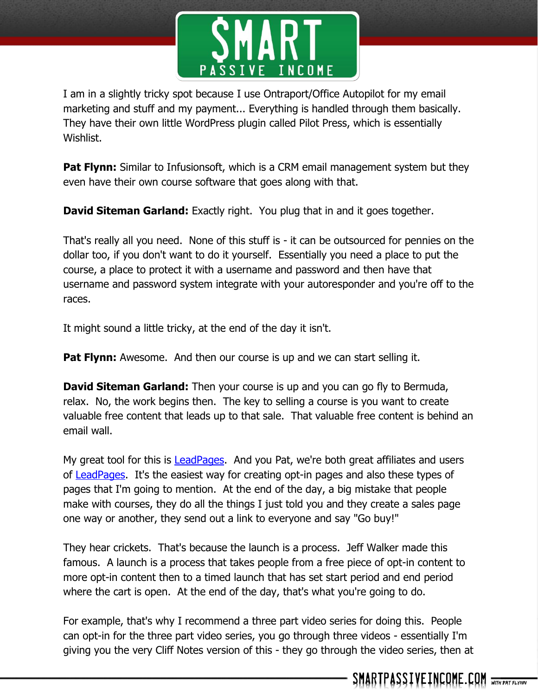

I am in a slightly tricky spot because I use Ontraport/Office Autopilot for my email marketing and stuff and my payment... Everything is handled through them basically. They have their own little WordPress plugin called Pilot Press, which is essentially Wishlist.

**Pat Flynn:** Similar to Infusionsoft, which is a CRM email management system but they even have their own course software that goes along with that.

**David Siteman Garland:** Exactly right. You plug that in and it goes together.

That's really all you need. None of this stuff is - it can be outsourced for pennies on the dollar too, if you don't want to do it yourself. Essentially you need a place to put the course, a place to protect it with a username and password and then have that username and password system integrate with your autoresponder and you're off to the races.

It might sound a little tricky, at the end of the day it isn't.

**Pat Flynn:** Awesome. And then our course is up and we can start selling it.

**David Siteman Garland:** Then your course is up and you can go fly to Bermuda, relax. No, the work begins then. The key to selling a course is you want to create valuable free content that leads up to that sale. That valuable free content is behind an email wall.

My great tool for this is [LeadPages.](http://smartpassiveincome.com/leadpages) And you Pat, we're both great affiliates and users of [LeadPages.](http://smartpassiveincome.com/leadpages) It's the easiest way for creating opt-in pages and also these types of pages that I'm going to mention. At the end of the day, a big mistake that people make with courses, they do all the things I just told you and they create a sales page one way or another, they send out a link to everyone and say "Go buy!"

They hear crickets. That's because the launch is a process. Jeff Walker made this famous. A launch is a process that takes people from a free piece of opt-in content to more opt-in content then to a timed launch that has set start period and end period where the cart is open. At the end of the day, that's what you're going to do.

For example, that's why I recommend a three part video series for doing this. People can opt-in for the three part video series, you go through three videos - essentially I'm giving you the very Cliff Notes version of this - they go through the video series, then at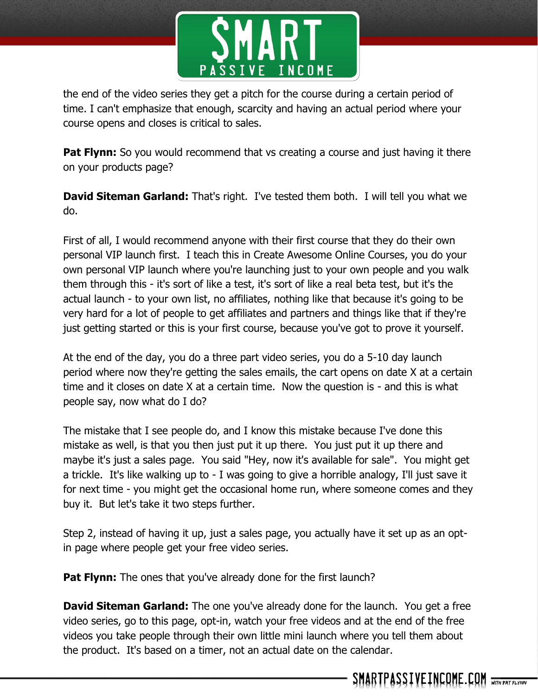

the end of the video series they get a pitch for the course during a certain period of time. I can't emphasize that enough, scarcity and having an actual period where your course opens and closes is critical to sales.

**Pat Flynn:** So you would recommend that vs creating a course and just having it there on your products page?

**David Siteman Garland:** That's right. I've tested them both. I will tell you what we do.

First of all, I would recommend anyone with their first course that they do their own personal VIP launch first. I teach this in Create Awesome Online Courses, you do your own personal VIP launch where you're launching just to your own people and you walk them through this - it's sort of like a test, it's sort of like a real beta test, but it's the actual launch - to your own list, no affiliates, nothing like that because it's going to be very hard for a lot of people to get affiliates and partners and things like that if they're just getting started or this is your first course, because you've got to prove it yourself.

At the end of the day, you do a three part video series, you do a 5-10 day launch period where now they're getting the sales emails, the cart opens on date X at a certain time and it closes on date X at a certain time. Now the question is - and this is what people say, now what do I do?

The mistake that I see people do, and I know this mistake because I've done this mistake as well, is that you then just put it up there. You just put it up there and maybe it's just a sales page. You said "Hey, now it's available for sale". You might get a trickle. It's like walking up to - I was going to give a horrible analogy, I'll just save it for next time - you might get the occasional home run, where someone comes and they buy it. But let's take it two steps further.

Step 2, instead of having it up, just a sales page, you actually have it set up as an optin page where people get your free video series.

**Pat Flynn:** The ones that you've already done for the first launch?

**David Siteman Garland:** The one you've already done for the launch. You get a free video series, go to this page, opt-in, watch your free videos and at the end of the free videos you take people through their own little mini launch where you tell them about the product. It's based on a timer, not an actual date on the calendar.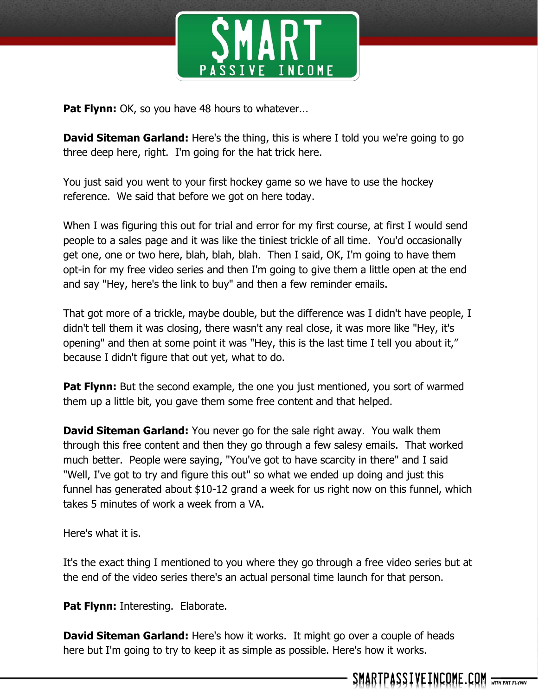

**Pat Flynn:** OK, so you have 48 hours to whatever...

**David Siteman Garland:** Here's the thing, this is where I told you we're going to go three deep here, right. I'm going for the hat trick here.

You just said you went to your first hockey game so we have to use the hockey reference. We said that before we got on here today.

When I was figuring this out for trial and error for my first course, at first I would send people to a sales page and it was like the tiniest trickle of all time. You'd occasionally get one, one or two here, blah, blah, blah. Then I said, OK, I'm going to have them opt-in for my free video series and then I'm going to give them a little open at the end and say "Hey, here's the link to buy" and then a few reminder emails.

That got more of a trickle, maybe double, but the difference was I didn't have people, I didn't tell them it was closing, there wasn't any real close, it was more like "Hey, it's opening" and then at some point it was "Hey, this is the last time I tell you about it," because I didn't figure that out yet, what to do.

**Pat Flynn:** But the second example, the one you just mentioned, you sort of warmed them up a little bit, you gave them some free content and that helped.

**David Siteman Garland:** You never go for the sale right away. You walk them through this free content and then they go through a few salesy emails. That worked much better. People were saying, "You've got to have scarcity in there" and I said "Well, I've got to try and figure this out" so what we ended up doing and just this funnel has generated about \$10-12 grand a week for us right now on this funnel, which takes 5 minutes of work a week from a VA.

Here's what it is.

It's the exact thing I mentioned to you where they go through a free video series but at the end of the video series there's an actual personal time launch for that person.

**Pat Flynn: Interesting. Elaborate.** 

**David Siteman Garland:** Here's how it works. It might go over a couple of heads here but I'm going to try to keep it as simple as possible. Here's how it works.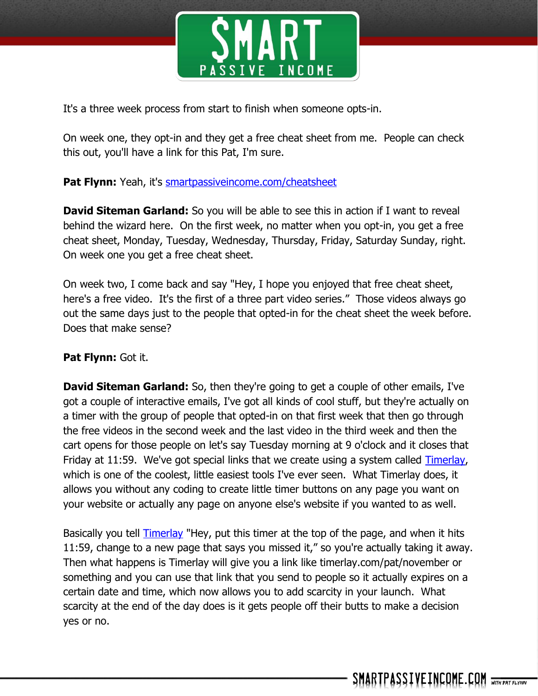

It's a three week process from start to finish when someone opts-in.

On week one, they opt-in and they get a free cheat sheet from me. People can check this out, you'll have a link for this Pat, I'm sure.

## **Pat Flynn:** Yeah, it's smartpassive income.com/cheatsheet

**David Siteman Garland:** So you will be able to see this in action if I want to reveal behind the wizard here. On the first week, no matter when you opt-in, you get a free cheat sheet, Monday, Tuesday, Wednesday, Thursday, Friday, Saturday Sunday, right. On week one you get a free cheat sheet.

On week two, I come back and say "Hey, I hope you enjoyed that free cheat sheet, here's a free video. It's the first of a three part video series." Those videos always go out the same days just to the people that opted-in for the cheat sheet the week before. Does that make sense?

## **Pat Flynn:** Got it.

**David Siteman Garland:** So, then they're going to get a couple of other emails, I've got a couple of interactive emails, I've got all kinds of cool stuff, but they're actually on a timer with the group of people that opted-in on that first week that then go through the free videos in the second week and the last video in the third week and then the cart opens for those people on let's say Tuesday morning at 9 o'clock and it closes that Friday at 11:59. We've got special links that we create using a system called [Timerlay,](http://home.timerlay.com/) which is one of the coolest, little easiest tools I've ever seen. What Timerlay does, it allows you without any coding to create little timer buttons on any page you want on your website or actually any page on anyone else's website if you wanted to as well.

Basically you tell [Timerlay](http://home.timerlay.com/) "Hey, put this timer at the top of the page, and when it hits 11:59, change to a new page that says you missed it," so you're actually taking it away. Then what happens is Timerlay will give you a link like timerlay.com/pat/november or something and you can use that link that you send to people so it actually expires on a certain date and time, which now allows you to add scarcity in your launch. What scarcity at the end of the day does is it gets people off their butts to make a decision yes or no.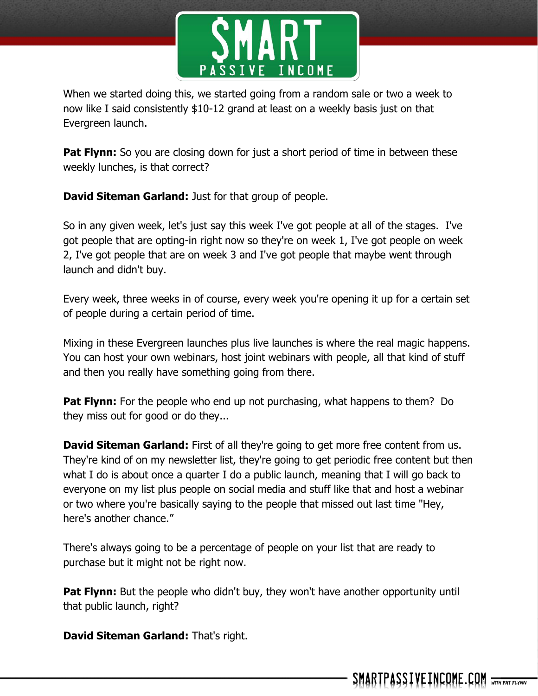

When we started doing this, we started going from a random sale or two a week to now like I said consistently \$10-12 grand at least on a weekly basis just on that Evergreen launch.

**Pat Flynn:** So you are closing down for just a short period of time in between these weekly lunches, is that correct?

**David Siteman Garland:** Just for that group of people.

So in any given week, let's just say this week I've got people at all of the stages. I've got people that are opting-in right now so they're on week 1, I've got people on week 2, I've got people that are on week 3 and I've got people that maybe went through launch and didn't buy.

Every week, three weeks in of course, every week you're opening it up for a certain set of people during a certain period of time.

Mixing in these Evergreen launches plus live launches is where the real magic happens. You can host your own webinars, host joint webinars with people, all that kind of stuff and then you really have something going from there.

**Pat Flynn:** For the people who end up not purchasing, what happens to them? Do they miss out for good or do they...

**David Siteman Garland:** First of all they're going to get more free content from us. They're kind of on my newsletter list, they're going to get periodic free content but then what I do is about once a quarter I do a public launch, meaning that I will go back to everyone on my list plus people on social media and stuff like that and host a webinar or two where you're basically saying to the people that missed out last time "Hey, here's another chance."

There's always going to be a percentage of people on your list that are ready to purchase but it might not be right now.

**Pat Flynn:** But the people who didn't buy, they won't have another opportunity until that public launch, right?

**David Siteman Garland:** That's right.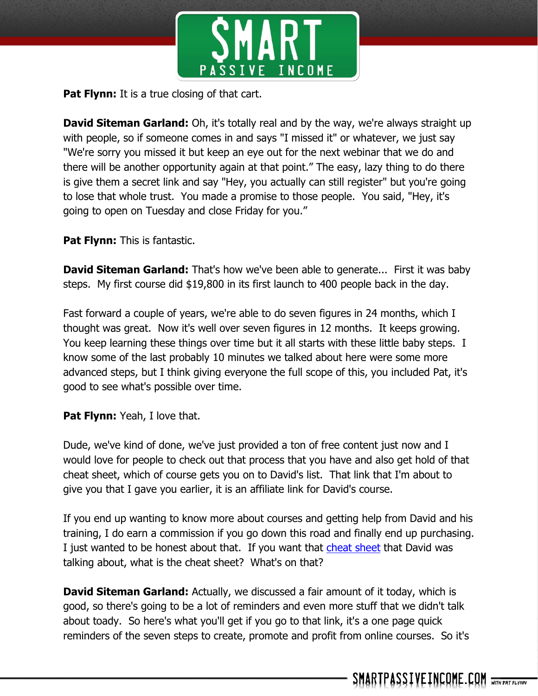

**Pat Flynn:** It is a true closing of that cart.

**David Siteman Garland:** Oh, it's totally real and by the way, we're always straight up with people, so if someone comes in and says "I missed it" or whatever, we just say "We're sorry you missed it but keep an eye out for the next webinar that we do and there will be another opportunity again at that point." The easy, lazy thing to do there is give them a secret link and say "Hey, you actually can still register" but you're going to lose that whole trust. You made a promise to those people. You said, "Hey, it's going to open on Tuesday and close Friday for you."

**Pat Flynn:** This is fantastic.

**David Siteman Garland:** That's how we've been able to generate... First it was baby steps. My first course did \$19,800 in its first launch to 400 people back in the day.

Fast forward a couple of years, we're able to do seven figures in 24 months, which I thought was great. Now it's well over seven figures in 12 months. It keeps growing. You keep learning these things over time but it all starts with these little baby steps. I know some of the last probably 10 minutes we talked about here were some more advanced steps, but I think giving everyone the full scope of this, you included Pat, it's good to see what's possible over time.

**Pat Flynn:** Yeah, I love that.

Dude, we've kind of done, we've just provided a ton of free content just now and I would love for people to check out that process that you have and also get hold of that cheat sheet, which of course gets you on to David's list. That link that I'm about to give you that I gave you earlier, it is an affiliate link for David's course.

If you end up wanting to know more about courses and getting help from David and his training, I do earn a commission if you go down this road and finally end up purchasing. I just wanted to be honest about that. If you want that [cheat sheet](http://smartpassiveincome.com/cheatsheet) that David was talking about, what is the cheat sheet? What's on that?

**David Siteman Garland:** Actually, we discussed a fair amount of it today, which is good, so there's going to be a lot of reminders and even more stuff that we didn't talk about toady. So here's what you'll get if you go to that link, it's a one page quick reminders of the seven steps to create, promote and profit from online courses. So it's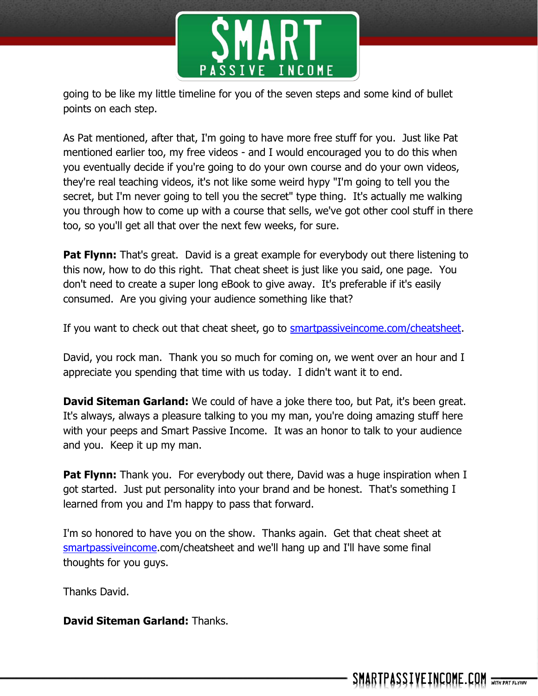

going to be like my little timeline for you of the seven steps and some kind of bullet points on each step.

As Pat mentioned, after that, I'm going to have more free stuff for you. Just like Pat mentioned earlier too, my free videos - and I would encouraged you to do this when you eventually decide if you're going to do your own course and do your own videos, they're real teaching videos, it's not like some weird hypy "I'm going to tell you the secret, but I'm never going to tell you the secret" type thing. It's actually me walking you through how to come up with a course that sells, we've got other cool stuff in there too, so you'll get all that over the next few weeks, for sure.

**Pat Flynn:** That's great. David is a great example for everybody out there listening to this now, how to do this right. That cheat sheet is just like you said, one page. You don't need to create a super long eBook to give away. It's preferable if it's easily consumed. Are you giving your audience something like that?

If you want to check out that cheat sheet, go to **smartpassive income.com/cheatsheet**.

David, you rock man. Thank you so much for coming on, we went over an hour and I appreciate you spending that time with us today. I didn't want it to end.

**David Siteman Garland:** We could of have a joke there too, but Pat, it's been great. It's always, always a pleasure talking to you my man, you're doing amazing stuff here with your peeps and Smart Passive Income. It was an honor to talk to your audience and you. Keep it up my man.

**Pat Flynn:** Thank you. For everybody out there, David was a huge inspiration when I got started. Just put personality into your brand and be honest. That's something I learned from you and I'm happy to pass that forward.

I'm so honored to have you on the show. Thanks again. Get that cheat sheet at [smartpassiveincome.](http://smartpassiveincome.com/cheatsheet)com/cheatsheet and we'll hang up and I'll have some final thoughts for you guys.

Thanks David.

**David Siteman Garland:** Thanks.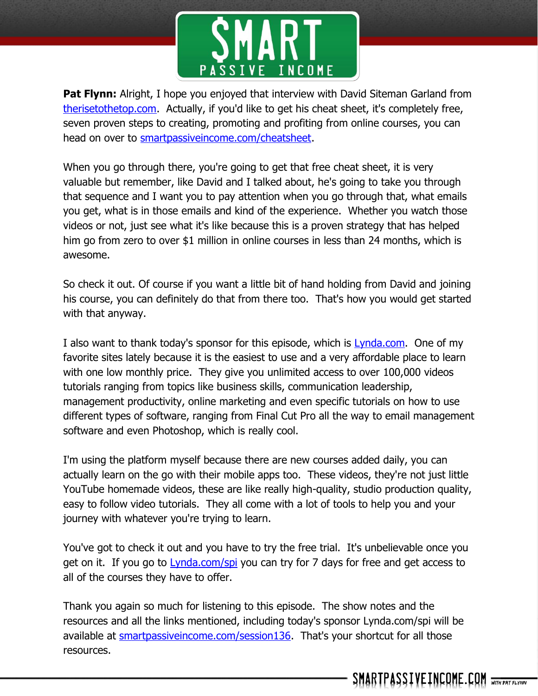

**Pat Flynn:** Alright, I hope you enjoyed that interview with David Siteman Garland from [therisetothetop.com.](http://therisetothetop.com/) Actually, if you'd like to get his cheat sheet, it's completely free, seven proven steps to creating, promoting and profiting from online courses, you can head on over to [smartpassiveincome.com/cheatsheet.](http://smartpassiveincome.com/cheatsheet)

When you go through there, you're going to get that free cheat sheet, it is very valuable but remember, like David and I talked about, he's going to take you through that sequence and I want you to pay attention when you go through that, what emails you get, what is in those emails and kind of the experience. Whether you watch those videos or not, just see what it's like because this is a proven strategy that has helped him go from zero to over \$1 million in online courses in less than 24 months, which is awesome.

So check it out. Of course if you want a little bit of hand holding from David and joining his course, you can definitely do that from there too. That's how you would get started with that anyway.

I also want to thank today's sponsor for this episode, which is **Lynda.com.** One of my favorite sites lately because it is the easiest to use and a very affordable place to learn with one low monthly price. They give you unlimited access to over 100,000 videos tutorials ranging from topics like business skills, communication leadership, management productivity, online marketing and even specific tutorials on how to use different types of software, ranging from Final Cut Pro all the way to email management software and even Photoshop, which is really cool.

I'm using the platform myself because there are new courses added daily, you can actually learn on the go with their mobile apps too. These videos, they're not just little YouTube homemade videos, these are like really high-quality, studio production quality, easy to follow video tutorials. They all come with a lot of tools to help you and your journey with whatever you're trying to learn.

You've got to check it out and you have to try the free trial. It's unbelievable once you get on it. If you go to [Lynda.com/spi](http://lynda.com/spi) you can try for 7 days for free and get access to all of the courses they have to offer.

Thank you again so much for listening to this episode. The show notes and the resources and all the links mentioned, including today's sponsor Lynda.com/spi will be available at [smartpassiveincome.com/session136.](http://smartpassiveincome.com/session136) That's your shortcut for all those resources.